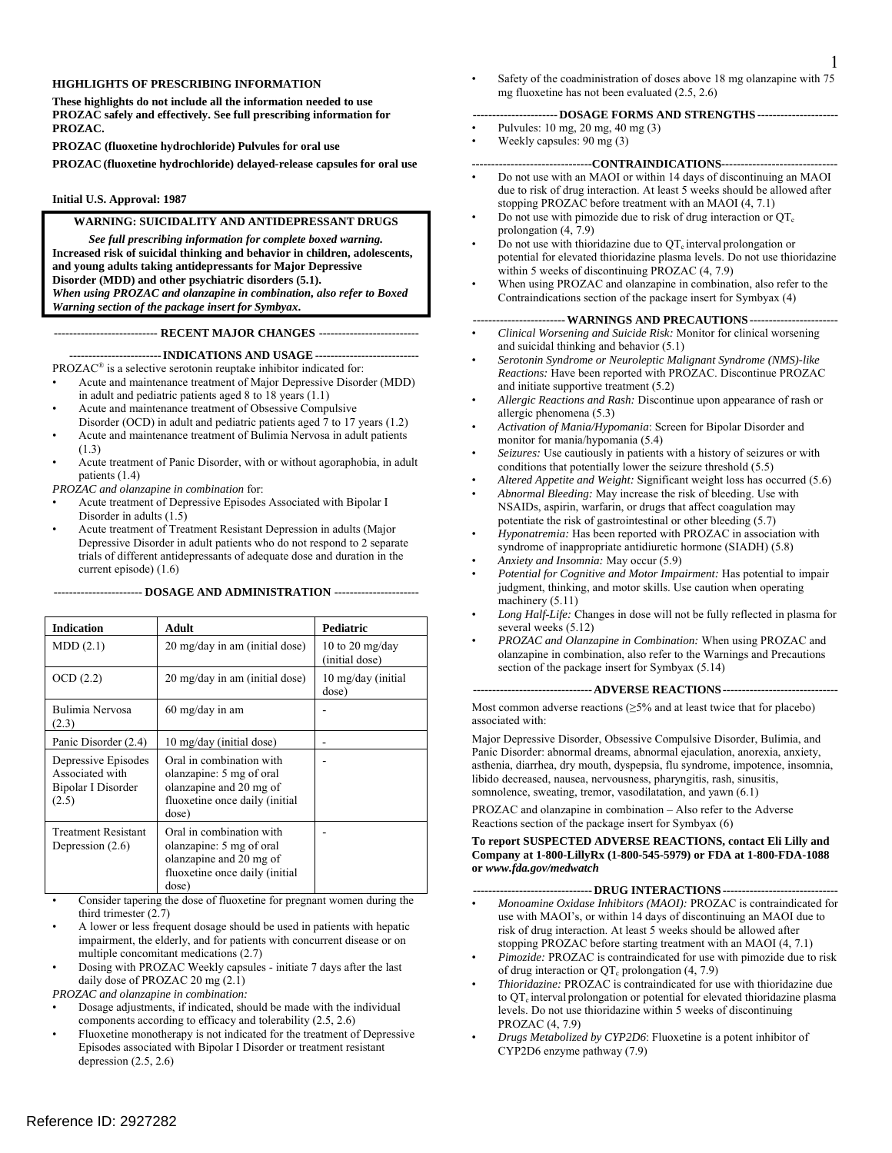#### **HIGHLIGHTS OF PRESCRIBING INFORMATION**

**These highlights do not include all the information needed to use PROZAC safely and effectively. See full prescribing information for PROZAC.** 

**PROZAC (fluoxetine hydrochloride) Pulvules for oral use** 

**PROZAC (fluoxetine hydrochloride) delayed-release capsules for oral use** 

#### **Initial U.S. Approval: 1987**

#### **WARNING: SUICIDALITY AND ANTIDEPRESSANT DRUGS**

*See full prescribing information for complete boxed warning.*  **Increased risk of suicidal thinking and behavior in children, adolescents, and young adults taking antidepressants for Major Depressive Disorder (MDD) and other psychiatric disorders (5.1).**  *When using PROZAC and olanzapine in combination, also refer to Boxed Warning section of the package insert for Symbyax***.** 

**--------------------------- RECENT MAJOR CHANGES --------------------------**

**------------------------ INDICATIONS AND USAGE ---------------------------**

PROZAC® is a selective serotonin reuptake inhibitor indicated for:

- Acute and maintenance treatment of Major Depressive Disorder (MDD) in adult and pediatric patients aged 8 to 18 years (1.1)
- Acute and maintenance treatment of Obsessive Compulsive Disorder (OCD) in adult and pediatric patients aged 7 to 17 years (1.2)
- Acute and maintenance treatment of Bulimia Nervosa in adult patients (1.3)
- Acute treatment of Panic Disorder, with or without agoraphobia, in adult patients (1.4)

*PROZAC and olanzapine in combination* for:

- Acute treatment of Depressive Episodes Associated with Bipolar I Disorder in adults (1.5)
- Acute treatment of Treatment Resistant Depression in adults (Major Depressive Disorder in adult patients who do not respond to 2 separate trials of different antidepressants of adequate dose and duration in the current episode) (1.6)

#### **----------------------- DOSAGE AND ADMINISTRATION ----------------------**

| <b>Indication</b>                                                     | Adult                                                                                                                      | Pediatric                         |
|-----------------------------------------------------------------------|----------------------------------------------------------------------------------------------------------------------------|-----------------------------------|
| MDD(2.1)                                                              | 20 mg/day in am (initial dose)                                                                                             | 10 to 20 mg/day<br>(initial dose) |
| OCD(2.2)                                                              | 20 mg/day in am (initial dose)                                                                                             | 10 mg/day (initial<br>dose)       |
| Bulimia Nervosa<br>(2.3)                                              | $60 \text{ mg/day}$ in am                                                                                                  |                                   |
| Panic Disorder (2.4)                                                  | 10 mg/day (initial dose)                                                                                                   |                                   |
| Depressive Episodes<br>Associated with<br>Bipolar I Disorder<br>(2.5) | Oral in combination with<br>olanzapine: 5 mg of oral<br>olanzapine and 20 mg of<br>fluoxetine once daily (initial<br>dose) |                                   |
| <b>Treatment Resistant</b><br>Depression $(2.6)$                      | Oral in combination with<br>olanzapine: 5 mg of oral<br>olanzapine and 20 mg of<br>fluoxetine once daily (initial<br>dose) |                                   |

• Consider tapering the dose of fluoxetine for pregnant women during the third trimester (2.7)

- A lower or less frequent dosage should be used in patients with hepatic impairment, the elderly, and for patients with concurrent disease or on multiple concomitant medications (2.7)
- Dosing with PROZAC Weekly capsules initiate 7 days after the last daily dose of PROZAC 20 mg (2.1)

*PROZAC and olanzapine in combination:* 

- Dosage adjustments, if indicated, should be made with the individual components according to efficacy and tolerability (2.5, 2.6)
- • Fluoxetine monotherapy is not indicated for the treatment of Depressive Episodes associated with Bipolar I Disorder or treatment resistant depression (2.5, 2.6)

Safety of the coadministration of doses above 18 mg olanzapine with 75 mg fluoxetine has not been evaluated (2.5, 2.6)

#### **---------------------- DOSAGE FORMS AND STRENGTHS ---------------------**

- Pulvules: 10 mg, 20 mg, 40 mg (3)
- Weekly capsules: 90 mg (3)

#### **-------------------------------CONTRAINDICATIONS------------------------------**

- Do not use with an MAOI or within 14 days of discontinuing an MAOI due to risk of drug interaction. At least 5 weeks should be allowed after stopping PROZAC before treatment with an MAOI (4, 7.1)
- Do not use with pimozide due to risk of drug interaction or  $QT_c$ prolongation (4, 7.9)
- Do not use with thioridazine due to  $QT_c$  interval prolongation or potential for elevated thioridazine plasma levels. Do not use thioridazine within 5 weeks of discontinuing PROZAC  $(4, 7.9)$
- When using PROZAC and olanzapine in combination, also refer to the Contraindications section of the package insert for Symbyax (4)

#### **------------------------ WARNINGS AND PRECAUTIONS -----------------------**

- *Clinical Worsening and Suicide Risk:* Monitor for clinical worsening and suicidal thinking and behavior (5.1)
- *Serotonin Syndrome or Neuroleptic Malignant Syndrome (NMS)-like Reactions:* Have been reported with PROZAC. Discontinue PROZAC and initiate supportive treatment (5.2)
- *Allergic Reactions and Rash:* Discontinue upon appearance of rash or allergic phenomena (5.3)
- *Activation of Mania/Hypomania*: Screen for Bipolar Disorder and monitor for mania/hypomania (5.4)
- *Seizures:* Use cautiously in patients with a history of seizures or with conditions that potentially lower the seizure threshold (5.5)
- *Altered Appetite and Weight:* Significant weight loss has occurred (5.6)
- *Abnormal Bleeding:* May increase the risk of bleeding. Use with NSAIDs, aspirin, warfarin, or drugs that affect coagulation may potentiate the risk of gastrointestinal or other bleeding (5.7)
- • *Hyponatremia:* Has been reported with PROZAC in association with syndrome of inappropriate antidiuretic hormone (SIADH) (5.8)
- *Anxiety and Insomnia:* May occur (5.9)
- • *Potential for Cognitive and Motor Impairment:* Has potential to impair judgment, thinking, and motor skills. Use caution when operating machinery (5.11)
- *Long Half-Life:* Changes in dose will not be fully reflected in plasma for several weeks (5.12)
- *PROZAC and Olanzapine in Combination:* When using PROZAC and olanzapine in combination, also refer to the Warnings and Precautions section of the package insert for Symbyax (5.14)

**------------------------------- ADVERSE REACTIONS ------------------------------**

Most common adverse reactions  $(\geq 5\%$  and at least twice that for placebo) associated with:

Major Depressive Disorder, Obsessive Compulsive Disorder, Bulimia, and Panic Disorder: abnormal dreams, abnormal ejaculation, anorexia, anxiety, asthenia, diarrhea, dry mouth, dyspepsia, flu syndrome, impotence, insomnia, libido decreased, nausea, nervousness, pharyngitis, rash, sinusitis, somnolence, sweating, tremor, vasodilatation, and yawn (6.1)

PROZAC and olanzapine in combination – Also refer to the Adverse Reactions section of the package insert for Symbyax (6)

**To report SUSPECTED ADVERSE REACTIONS, contact Eli Lilly and Company at 1-800-LillyRx (1-800-545-5979) or FDA at 1-800-FDA-1088 or** *www.fda.gov/medwatch* 

**------------------------------- DRUG INTERACTIONS ------------------------------**

- *Monoamine Oxidase Inhibitors (MAOI):* PROZAC is contraindicated for use with MAOI's, or within 14 days of discontinuing an MAOI due to risk of drug interaction. At least 5 weeks should be allowed after stopping PROZAC before starting treatment with an MAOI (4, 7.1)
- *Pimozide:* PROZAC is contraindicated for use with pimozide due to risk of drug interaction or  $QT_c$  prolongation (4, 7.9)
- *Thioridazine:* PROZAC is contraindicated for use with thioridazine due to  $QT_c$  interval prolongation or potential for elevated thioridazine plasma levels. Do not use thioridazine within 5 weeks of discontinuing PROZAC (4, 7.9)
- *Drugs Metabolized by CYP2D6*: Fluoxetine is a potent inhibitor of CYP2D6 enzyme pathway (7.9)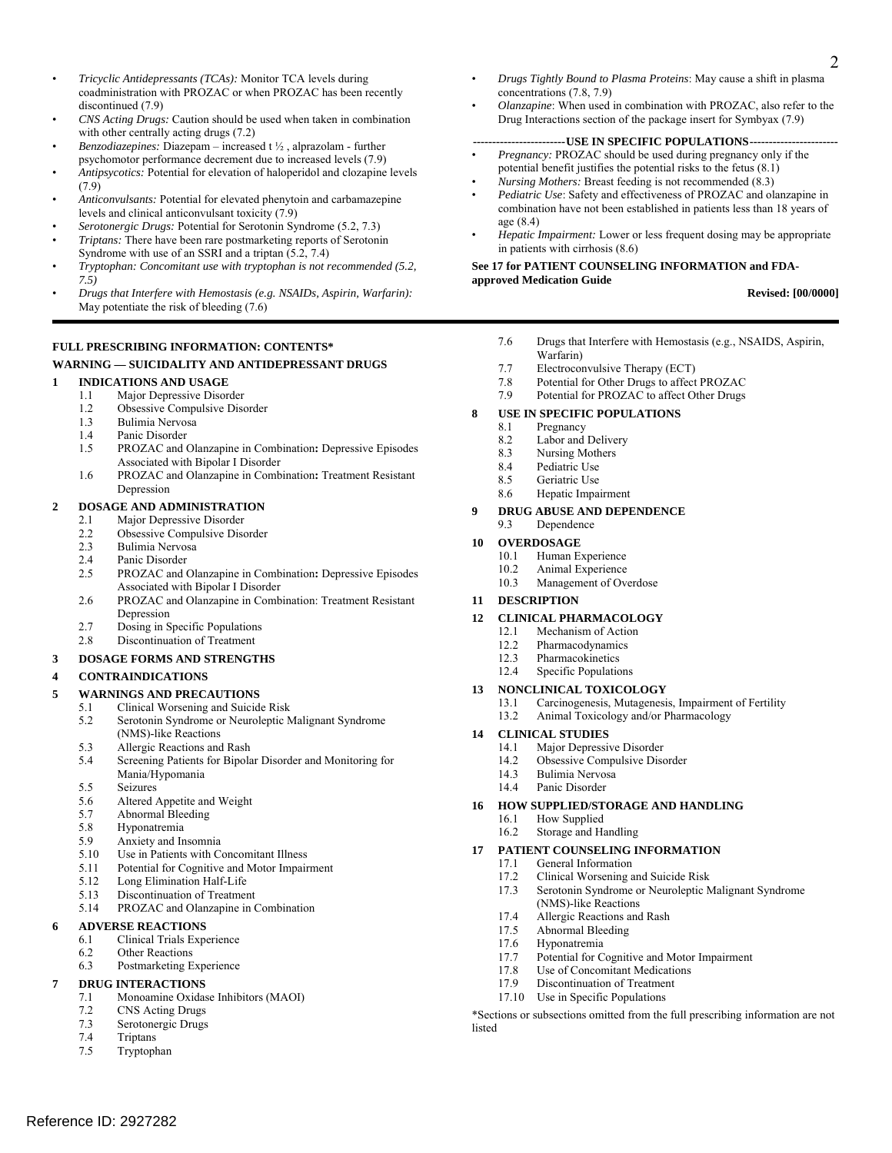- coadministration with PROZAC or when PROZAC has been recently discontinued (7.9)
- *CNS Acting Drugs:* Caution should be used when taken in combination with other centrally acting drugs (7.2)
- *Benzodiazepines:* Diazepam increased t ½ , alprazolam further psychomotor performance decrement due to increased levels (7.9)
- *Antipsycotics:* Potential for elevation of haloperidol and clozapine levels (7.9)
- levels and clinical anticonvulsant toxicity (7.9) • *Anticonvulsants:* Potential for elevated phenytoin and carbamazepine
- *Serotonergic Drugs:* Potential for Serotonin Syndrome (5.2, 7.3)
- *Triptans:* There have been rare postmarketing reports of Serotonin Syndrome with use of an SSRI and a triptan (5.2, 7.4)
- *Tryptophan: Concomitant use with tryptophan is not recommended (5.2, 7.5)*
- *Drugs that Interfere with Hemostasis (e.g. NSAIDs, Aspirin, Warfarin):*  May potentiate the risk of bleeding (7.6)

# **WARNING — SUICIDALITY AND ANTIDEPRESSANT DRUGS** WARNING — WARNING — SUICIDALITY AND ANTIDEPRESSANT DRUGS 6 7.7 Electroconvulsive Therapy (ECT)

- 
- 
- 
- 
- 1.3 Bulimia Nervosa 8.1 Pregnancy 1.4 Panic Disorder 8.2 Labor and Delivery 1.5 PROZAC and Olanzapine in Combination: Depressive Episodes 8.3 Nursing Mothers Associated with Bipolar I Disorder 8.4 Pediatric Use 1.6 PROZAC
- PROZAC and Olanzapine in Combination: Treatment Resistant Depression

- 2.1 Major Depressive Disorder 1.1 Major Dependence 2.2 Obsessive Compulsive Disorder 1.2 Over 2.3 Dependence 2.3 Bulimia Nervosa 2.3 Bulimia Nervosa
- Obsessive Compulsive Disorder
- 
- 
- Associated with Bipolar I Disorder 2.3 Bulimia Nervosa **10 OVERDOSAGE**<br>2.4 Panic Disorder 10.1 Human Experience<br>2.5 PROZAC and Olarzanina in Combination: Depressive Enjoyees 10.2 Animal Experience 2.5 PROZAC and Olanzapine in Combination: Depressive Episodes<br>
Associated with Bipolar I Disorder<br>
2.6 PROZAC and Olanzapine in Combination: Treatment Resistant<br>
2.6 PROZAC and Olanzapine in Combination: Treatment Resistan
- Depression
- 2.7 Dosing in Specific Populations 12.1 Mechanism of Treatment 12.1 Mechanism of Treatment 12.1 Mechanism of Action 12.1 Mechanism of Treatment 12.1 Mechanism of Treatment 12.1 Mechanism of Treatment 12.1 Mechanism of Trea
- 

#### **3 DOSAGE FORMS AND STRENGTHS**

- 
- (NMS)-like Reactions **14 CLINICAL STUDIES** 13.1 Carcinogenesis, Mutagenesis, Impairment of Ferdinical Worsening and Suicide Risk 15.2 Serotonin Syndrome Suicide Risk 13.2 Animal Toxicology and/or Pharmacology 5.2 Serotonin Syndrome or Neuroleptic Malignant Syndrome
- 
- 5.3 Allergic Reactions and Rash 14.1 Major Depressive Disorder<br>5.4 Screening Patients for Bipolar Disorder and Monitoring for 14.2 Obsessive Compulsive Disorder Screening Patients for Bipolar Disorder and Monitoring for Mania/Hypomania 14.3 Bulimia Nervosa
- 
- 
- Abnormal Bleeding<br>Hyponatremia
- 
- 
- 
- 
- 
- Discontinuation of Treatment<br>PROZAC and Olanzapine in Combination
- 

- **ADVERSE REACTIONS**<br>6.1 Clinical Trials Experience
- 
- 

#### **DRUG INTERACTIONS 7 DRUG INTERACTIONS** 17.9 Discontinuation of Treatment

- 7.1 Monoamine Oxidase Inhibitors (MAOI) 17.10 Use in Specific Populations
- 7.2 CNS Acting Drugs \*Sections or subsections omitted from the full prescribing information are not<br>7.3 Serotonergic Drugs
- 7.3 Serotonergic Drugs listed
- 7.4 Triptans

Reference ID: 2927282

7.5 Tryptophan

- 2 *Tricyclic Antidepressants (TCAs):* Monitor TCA levels during *Drugs Tightly Bound to Plasma Proteins*: May cause a shift in plasma concentrations (7.8, 7.9)
	- *Olanzapine*: When used in combination with PROZAC, also refer to the Drug Interactions section of the package insert for Symbyax (7.9)

#### **------------------------USE IN SPECIFIC POPULATIONS-----------------------**

- • *Pregnancy:* PROZAC should be used during pregnancy only if the potential benefit justifies the potential risks to the fetus (8.1)
- *Nursing Mothers:* Breast feeding is not recommended (8.3)
- • *Pediatric Use*: Safety and effectiveness of PROZAC and olanzapine in combination have not been established in patients less than 18 years of age (8.4)
- • *Hepatic Impairment:* Lower or less frequent dosing may be appropriate in patients with cirrhosis (8.6)

#### **See 17 for PATIENT COUNSELING INFORMATION and FDAapproved Medication Guide**

#### **Revised: [00/0000]**

- 7.6 Drugs that Interfere with Hemostasis (e.g., NSAIDS, Aspirin, **FULL PRESCRIBING INFORMATION: CONTENTS\*** 
	-
	- **1 INDICATIONS AND USAGE** 7.8 Potential for Other Drugs to affect PROZAC
	- 1.1 Major Depressive Disorder 7.9 Potential for PROZAC to affect Other Drugs

# 1.2 Obsessive Compulsive Disorder **8 USE IN SPECIFIC POPULATIONS 8.1 Discrete POPULATIONS 8.1 Pregnancy**

- 
- 
- 
- 
- Geriatric Use
- 8.6 Hepatic Impairment

# **2** DOSAGE AND ADMINISTRATION 9 DRUG ABUSE AND DEPENDENCE 2.1 Major Depressive Disorder

- 
- Animal Experience
- 
- 
- **12 CLINICAL PHARMACOLOGY**<br>12.1 Mechanism of Action
	-
- 2.2 Pharmacodynamics<br>2.2 Pharmacodynamics<br>2.2 Pharmacodynamics<br>2.2 Pharmacodynamics
	-
- Specific Populations 12.4 Specific Populations **12.4** Specific Populations **12.4** Specific Populations **4** CONTRAINDICATIONS **13** NONCLINICAL TOXICOLOGY

- **13 NONCLINICAL TOXICOLOGY**<br> **13 NONCLINICAL TOXICOLOGY**<br> **13.1** Carcinogenesis, Mutagenesis, Impairment of Fertility<br> **13.1** Carcinogenesis, Mutagenesis, Impairment of Fertility
	-

- 
- 
- 
- 5.5 Seizures 14.4 Panic Disorder

# 5.6 Altered Appetite and Weight **16 HOW SUPPLIED/STORAGE AND HANDLING**<br>5.7 Abnormal Bleeding **16 H** and **H** and **H** and **H** and **H** and **H** and **H** and **H** and **H** and **H** and **H** and **H** and **H** and **H** and **H** and **H**

- How Supplied
- 

# 5.7 Abnormal Bleeding<br>
5.8 Hyponatremia 16.2 Storage and Handling<br>
5.9 Anxiety and Insomnia 16.2 Storage and Handling<br>
5.10 Use in Patients with Concomitant Illness **17 PATIENT COUNSELING INFORMATION**

- 
- 

Abnormal Bleeding

5.11 Potential for Cognitive and Motor Impairment<br>
5.12 Long Elimination Half-Life<br>
5.13 Discontinuation of Treatment<br>
5.14 PROZAC and Olanzapine in Combination<br>
6.1 Clinical Trials Experience<br>
6.2 Other Reactions<br>
6.2 Oth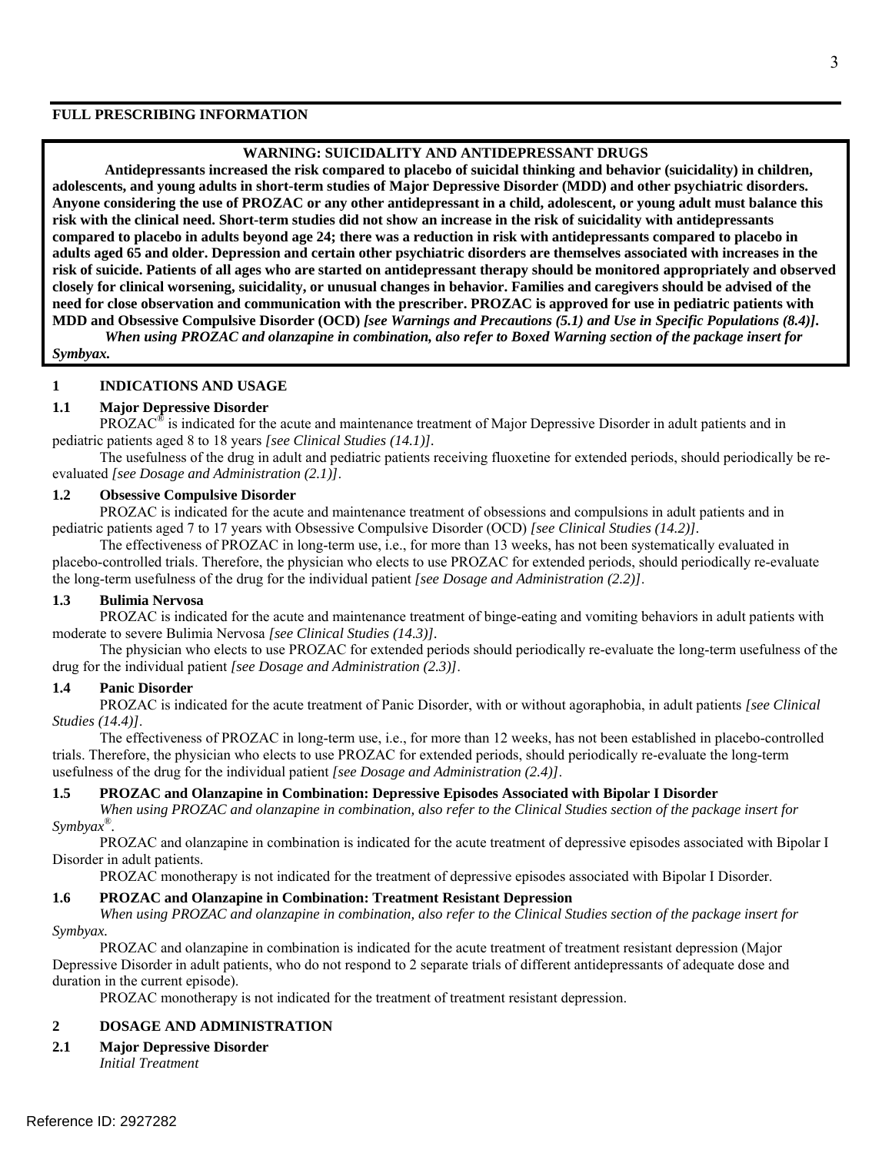#### **FULL PRESCRIBING INFORMATION**

#### **WARNING: SUICIDALITY AND ANTIDEPRESSANT DRUGS**

 **Anyone considering the use of PROZAC or any other antidepressant in a child, adolescent, or young adult must balance this Antidepressants increased the risk compared to placebo of suicidal thinking and behavior (suicidality) in children, adolescents, and young adults in short-term studies of Major Depressive Disorder (MDD) and other psychiatric disorders. risk with the clinical need. Short-term studies did not show an increase in the risk of suicidality with antidepressants compared to placebo in adults beyond age 24; there was a reduction in risk with antidepressants compared to placebo in adults aged 65 and older. Depression and certain other psychiatric disorders are themselves associated with increases in the risk of suicide. Patients of all ages who are started on antidepressant therapy should be monitored appropriately and observed closely for clinical worsening, suicidality, or unusual changes in behavior. Families and caregivers should be advised of the need for close observation and communication with the prescriber. PROZAC is approved for use in pediatric patients with MDD and Obsessive Compulsive Disorder (OCD)** *[see Warnings and Precautions (5.1) and Use in Specific Populations (8.4)]***.** 

*When using PROZAC and olanzapine in combination, also refer to Boxed Warning section of the package insert for Symbyax.* 

#### **1 INDICATIONS AND USAGE**

#### **1.1 Major Depressive Disorder**

PROZAC<sup>®</sup> is indicated for the acute and maintenance treatment of Major Depressive Disorder in adult patients and in pediatric patients aged 8 to 18 years *[see Clinical Studies (14.1)].* 

The usefulness of the drug in adult and pediatric patients receiving fluoxetine for extended periods, should periodically be reevaluated *[see Dosage and Administration (2.1)]*.

#### **1.2 Obsessive Compulsive Disorder**

PROZAC is indicated for the acute and maintenance treatment of obsessions and compulsions in adult patients and in pediatric patients aged 7 to 17 years with Obsessive Compulsive Disorder (OCD) *[see Clinical Studies (14.2)].* 

The effectiveness of PROZAC in long-term use, i.e., for more than 13 weeks, has not been systematically evaluated in placebo-controlled trials. Therefore, the physician who elects to use PROZAC for extended periods, should periodically re-evaluate the long-term usefulness of the drug for the individual patient *[see Dosage and Administration (2.2)]*.

#### **1.3 Bulimia Nervosa**

PROZAC is indicated for the acute and maintenance treatment of binge-eating and vomiting behaviors in adult patients with moderate to severe Bulimia Nervosa *[see Clinical Studies (14.3)].* 

The physician who elects to use PROZAC for extended periods should periodically re-evaluate the long-term usefulness of the drug for the individual patient *[see Dosage and Administration (2.3)]*.

#### **1.4 Panic Disorder**

PROZAC is indicated for the acute treatment of Panic Disorder, with or without agoraphobia, in adult patients *[see Clinical Studies (14.4)]*.

 The effectiveness of PROZAC in long-term use, i.e., for more than 12 weeks, has not been established in placebo-controlled trials. Therefore, the physician who elects to use PROZAC for extended periods, should periodically re-evaluate the long-term usefulness of the drug for the individual patient *[see Dosage and Administration (2.4)]*.

#### **1.5 PROZAC and Olanzapine in Combination: Depressive Episodes Associated with Bipolar I Disorder**

*When using PROZAC and olanzapine in combination, also refer to the Clinical Studies section of the package insert for Symbyax*<sup>®</sup>.

PROZAC and olanzapine in combination is indicated for the acute treatment of depressive episodes associated with Bipolar I Disorder in adult patients.

PROZAC monotherapy is not indicated for the treatment of depressive episodes associated with Bipolar I Disorder.

#### **1.6 PROZAC and Olanzapine in Combination: Treatment Resistant Depression**

*When using PROZAC and olanzapine in combination, also refer to the Clinical Studies section of the package insert for Symbyax.* 

PROZAC and olanzapine in combination is indicated for the acute treatment of treatment resistant depression (Major Depressive Disorder in adult patients, who do not respond to 2 separate trials of different antidepressants of adequate dose and duration in the current episode).

PROZAC monotherapy is not indicated for the treatment of treatment resistant depression.

#### **2 DOSAGE AND ADMINISTRATION**

#### **2.1 Major Depressive Disorder**

*Initial Treatment*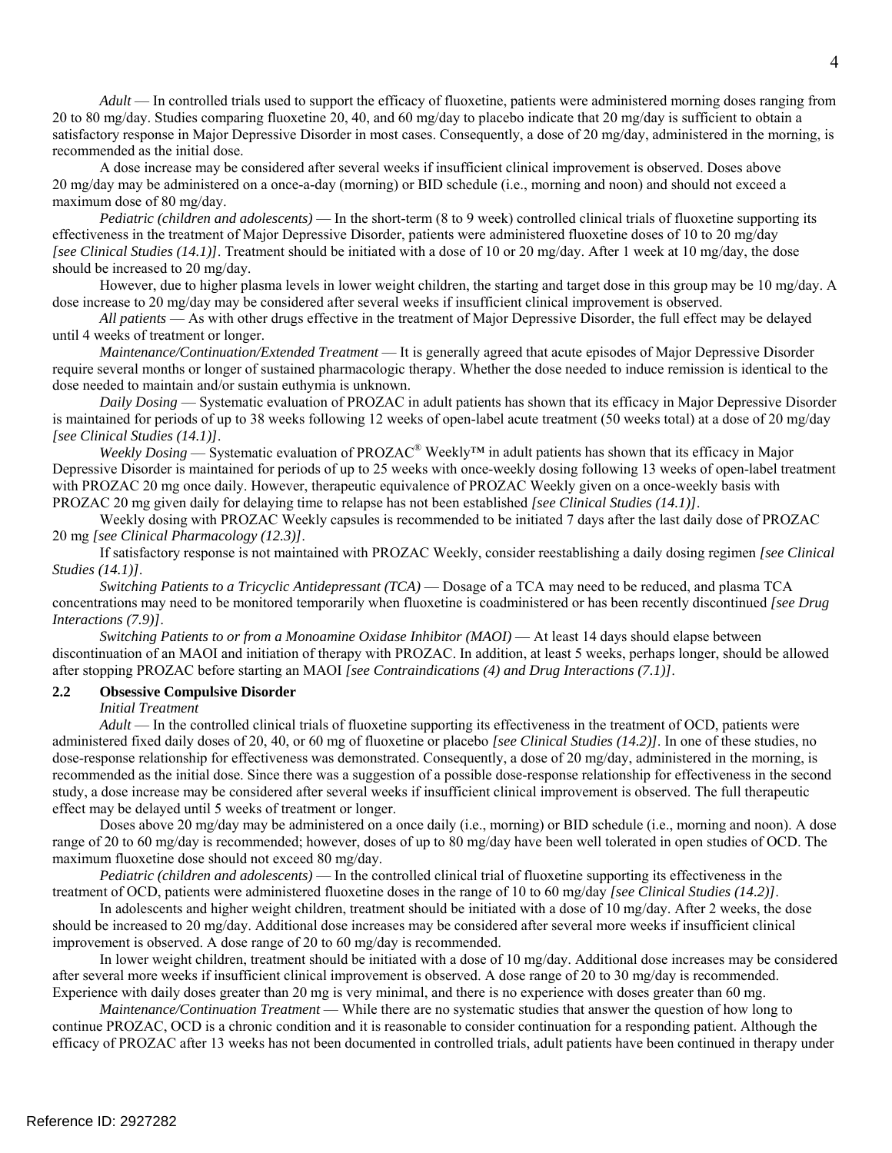*Adult* — In controlled trials used to support the efficacy of fluoxetine, patients were administered morning doses ranging from 20 to 80 mg/day. Studies comparing fluoxetine 20, 40, and 60 mg/day to placebo indicate that 20 mg/day is sufficient to obtain a satisfactory response in Major Depressive Disorder in most cases. Consequently, a dose of 20 mg/day, administered in the morning, is recommended as the initial dose.

A dose increase may be considered after several weeks if insufficient clinical improvement is observed. Doses above 20 mg/day may be administered on a once-a-day (morning) or BID schedule (i.e., morning and noon) and should not exceed a maximum dose of 80 mg/day.

 effectiveness in the treatment of Major Depressive Disorder, patients were administered fluoxetine doses of 10 to 20 mg/day *Pediatric (children and adolescents)* — In the short-term (8 to 9 week) controlled clinical trials of fluoxetine supporting its *[see Clinical Studies (14.1)]*. Treatment should be initiated with a dose of 10 or 20 mg/day. After 1 week at 10 mg/day, the dose should be increased to 20 mg/day.

 However, due to higher plasma levels in lower weight children, the starting and target dose in this group may be 10 mg/day. A dose increase to 20 mg/day may be considered after several weeks if insufficient clinical improvement is observed.

*All patients* — As with other drugs effective in the treatment of Major Depressive Disorder, the full effect may be delayed until 4 weeks of treatment or longer.

*Maintenance/Continuation/Extended Treatment* — It is generally agreed that acute episodes of Major Depressive Disorder require several months or longer of sustained pharmacologic therapy. Whether the dose needed to induce remission is identical to the dose needed to maintain and/or sustain euthymia is unknown.

*Daily Dosing* — Systematic evaluation of PROZAC in adult patients has shown that its efficacy in Major Depressive Disorder is maintained for periods of up to 38 weeks following 12 weeks of open-label acute treatment (50 weeks total) at a dose of 20 mg/day *[see Clinical Studies (14.1)]*.

 with PROZAC 20 mg once daily. However, therapeutic equivalence of PROZAC Weekly given on a once-weekly basis with *Weekly Dosing* — Systematic evaluation of PROZAC<sup>®</sup> Weekly<sup>™</sup> in adult patients has shown that its efficacy in Major Depressive Disorder is maintained for periods of up to 25 weeks with once-weekly dosing following 13 weeks of open-label treatment PROZAC 20 mg given daily for delaying time to relapse has not been established *[see Clinical Studies (14.1)]*.

Weekly dosing with PROZAC Weekly capsules is recommended to be initiated 7 days after the last daily dose of PROZAC 20 mg *[see Clinical Pharmacology (12.3)]*.

If satisfactory response is not maintained with PROZAC Weekly, consider reestablishing a daily dosing regimen *[see Clinical Studies (14.1)]*.

*Switching Patients to a Tricyclic Antidepressant (TCA)* — Dosage of a TCA may need to be reduced, and plasma TCA concentrations may need to be monitored temporarily when fluoxetine is coadministered or has been recently discontinued *[see Drug Interactions (7.9)]*.

*Switching Patients to or from a Monoamine Oxidase Inhibitor (MAOI)* — At least 14 days should elapse between discontinuation of an MAOI and initiation of therapy with PROZAC. In addition, at least 5 weeks, perhaps longer, should be allowed after stopping PROZAC before starting an MAOI *[see Contraindications (4) and Drug Interactions (7.1)]*.

### **2.2 Obsessive Compulsive Disorder**

*Initial Treatment* 

*Adult* — In the controlled clinical trials of fluoxetine supporting its effectiveness in the treatment of OCD, patients were administered fixed daily doses of 20, 40, or 60 mg of fluoxetine or placebo *[see Clinical Studies (14.2)]*. In one of these studies, no dose-response relationship for effectiveness was demonstrated. Consequently, a dose of 20 mg/day, administered in the morning, is recommended as the initial dose. Since there was a suggestion of a possible dose-response relationship for effectiveness in the second study, a dose increase may be considered after several weeks if insufficient clinical improvement is observed. The full therapeutic effect may be delayed until 5 weeks of treatment or longer.

Doses above 20 mg/day may be administered on a once daily (i.e., morning) or BID schedule (i.e., morning and noon). A dose range of 20 to 60 mg/day is recommended; however, doses of up to 80 mg/day have been well tolerated in open studies of OCD. The maximum fluoxetine dose should not exceed 80 mg/day.

 treatment of OCD, patients were administered fluoxetine doses in the range of 10 to 60 mg/day *[see Clinical Studies (14.2)]*. *Pediatric (children and adolescents)* — In the controlled clinical trial of fluoxetine supporting its effectiveness in the

In adolescents and higher weight children, treatment should be initiated with a dose of 10 mg/day. After 2 weeks, the dose should be increased to 20 mg/day. Additional dose increases may be considered after several more weeks if insufficient clinical improvement is observed. A dose range of 20 to 60 mg/day is recommended.

 after several more weeks if insufficient clinical improvement is observed. A dose range of 20 to 30 mg/day is recommended. In lower weight children, treatment should be initiated with a dose of 10 mg/day. Additional dose increases may be considered Experience with daily doses greater than 20 mg is very minimal, and there is no experience with doses greater than 60 mg.

*Maintenance/Continuation Treatment* — While there are no systematic studies that answer the question of how long to continue PROZAC, OCD is a chronic condition and it is reasonable to consider continuation for a responding patient. Although the efficacy of PROZAC after 13 weeks has not been documented in controlled trials, adult patients have been continued in therapy under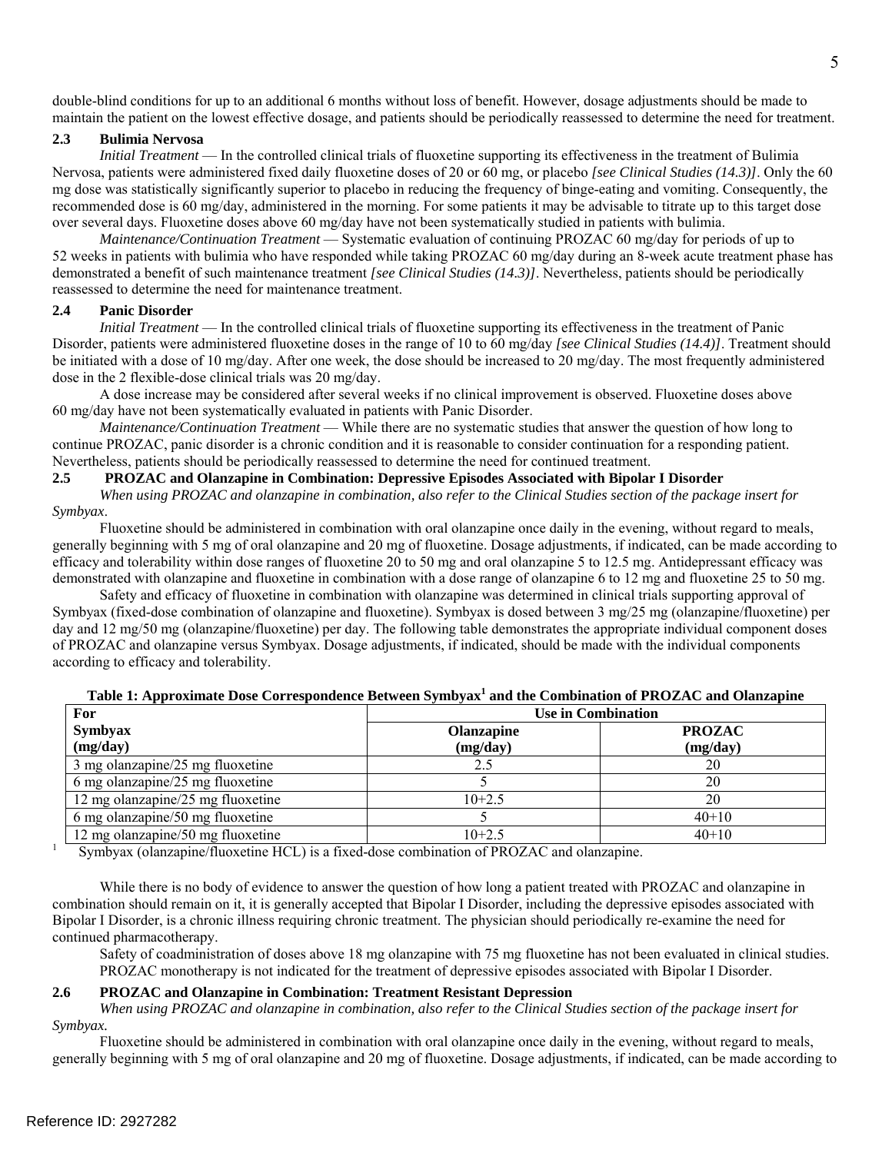double-blind conditions for up to an additional 6 months without loss of benefit. However, dosage adjustments should be made to maintain the patient on the lowest effective dosage, and patients should be periodically reassessed to determine the need for treatment.

#### **2.3 Bulimia Nervosa**

 recommended dose is 60 mg/day, administered in the morning. For some patients it may be advisable to titrate up to this target dose *Initial Treatment* — In the controlled clinical trials of fluoxetine supporting its effectiveness in the treatment of Bulimia Nervosa, patients were administered fixed daily fluoxetine doses of 20 or 60 mg, or placebo *[see Clinical Studies (14.3)]*. Only the 60 mg dose was statistically significantly superior to placebo in reducing the frequency of binge-eating and vomiting. Consequently, the over several days. Fluoxetine doses above 60 mg/day have not been systematically studied in patients with bulimia.

*Maintenance/Continuation Treatment* — Systematic evaluation of continuing PROZAC 60 mg/day for periods of up to 52 weeks in patients with bulimia who have responded while taking PROZAC 60 mg/day during an 8-week acute treatment phase has demonstrated a benefit of such maintenance treatment *[see Clinical Studies (14.3)]*. Nevertheless, patients should be periodically reassessed to determine the need for maintenance treatment.

### **2.4 Panic Disorder**

*Initial Treatment* — In the controlled clinical trials of fluoxetine supporting its effectiveness in the treatment of Panic Disorder, patients were administered fluoxetine doses in the range of 10 to 60 mg/day *[see Clinical Studies (14.4)]*. Treatment should be initiated with a dose of 10 mg/day. After one week, the dose should be increased to 20 mg/day. The most frequently administered dose in the 2 flexible-dose clinical trials was 20 mg/day.

A dose increase may be considered after several weeks if no clinical improvement is observed. Fluoxetine doses above 60 mg/day have not been systematically evaluated in patients with Panic Disorder.

*Maintenance/Continuation Treatment* — While there are no systematic studies that answer the question of how long to continue PROZAC, panic disorder is a chronic condition and it is reasonable to consider continuation for a responding patient. Nevertheless, patients should be periodically reassessed to determine the need for continued treatment.

#### **2.5 PROZAC and Olanzapine in Combination: Depressive Episodes Associated with Bipolar I Disorder**

*When using PROZAC and olanzapine in combination, also refer to the Clinical Studies section of the package insert for Symbyax*.

 Fluoxetine should be administered in combination with oral olanzapine once daily in the evening, without regard to meals, generally beginning with 5 mg of oral olanzapine and 20 mg of fluoxetine. Dosage adjustments, if indicated, can be made according to efficacy and tolerability within dose ranges of fluoxetine 20 to 50 mg and oral olanzapine 5 to 12.5 mg. Antidepressant efficacy was demonstrated with olanzapine and fluoxetine in combination with a dose range of olanzapine 6 to 12 mg and fluoxetine 25 to 50 mg.

 day and 12 mg/50 mg (olanzapine/fluoxetine) per day. The following table demonstrates the appropriate individual component doses Safety and efficacy of fluoxetine in combination with olanzapine was determined in clinical trials supporting approval of Symbyax (fixed-dose combination of olanzapine and fluoxetine). Symbyax is dosed between 3 mg/25 mg (olanzapine/fluoxetine) per of PROZAC and olanzapine versus Symbyax. Dosage adjustments, if indicated, should be made with the individual components according to efficacy and tolerability.

| For                               | <b>Use in Combination</b> |               |  |  |
|-----------------------------------|---------------------------|---------------|--|--|
| <b>Symbyax</b>                    | <b>Olanzapine</b>         | <b>PROZAC</b> |  |  |
| (mg/day)                          | (mg/day)                  | (mg/day)      |  |  |
| 3 mg olanzapine/25 mg fluoxetine  |                           | 20            |  |  |
| 6 mg olanzapine/25 mg fluoxetine  |                           | 20            |  |  |
| 12 mg olanzapine/25 mg fluoxetine | $10+2.5$                  | 20            |  |  |
| 6 mg olanzapine/50 mg fluoxetine  |                           | $40+10$       |  |  |
| 12 mg olanzapine/50 mg fluoxetine | $10+2.5$                  | $40+10$       |  |  |

#### Table 1: Approximate Dose Correspondence Between Symbyax<sup>1</sup> and the Combination of PROZAC and Olanzapine

 $\frac{1}{2}$  Symbyax (olanzapine/fluoxetine HCL) is a fixed-dose combination of PROZAC and olanzapine.

While there is no body of evidence to answer the question of how long a patient treated with PROZAC and olanzapine in combination should remain on it, it is generally accepted that Bipolar I Disorder, including the depressive episodes associated with Bipolar I Disorder, is a chronic illness requiring chronic treatment. The physician should periodically re-examine the need for continued pharmacotherapy.

Safety of coadministration of doses above 18 mg olanzapine with 75 mg fluoxetine has not been evaluated in clinical studies. PROZAC monotherapy is not indicated for the treatment of depressive episodes associated with Bipolar I Disorder.

#### **2.6 PROZAC and Olanzapine in Combination: Treatment Resistant Depression**

*When using PROZAC and olanzapine in combination, also refer to the Clinical Studies section of the package insert for Symbyax.* 

 Fluoxetine should be administered in combination with oral olanzapine once daily in the evening, without regard to meals, generally beginning with 5 mg of oral olanzapine and 20 mg of fluoxetine. Dosage adjustments, if indicated, can be made according to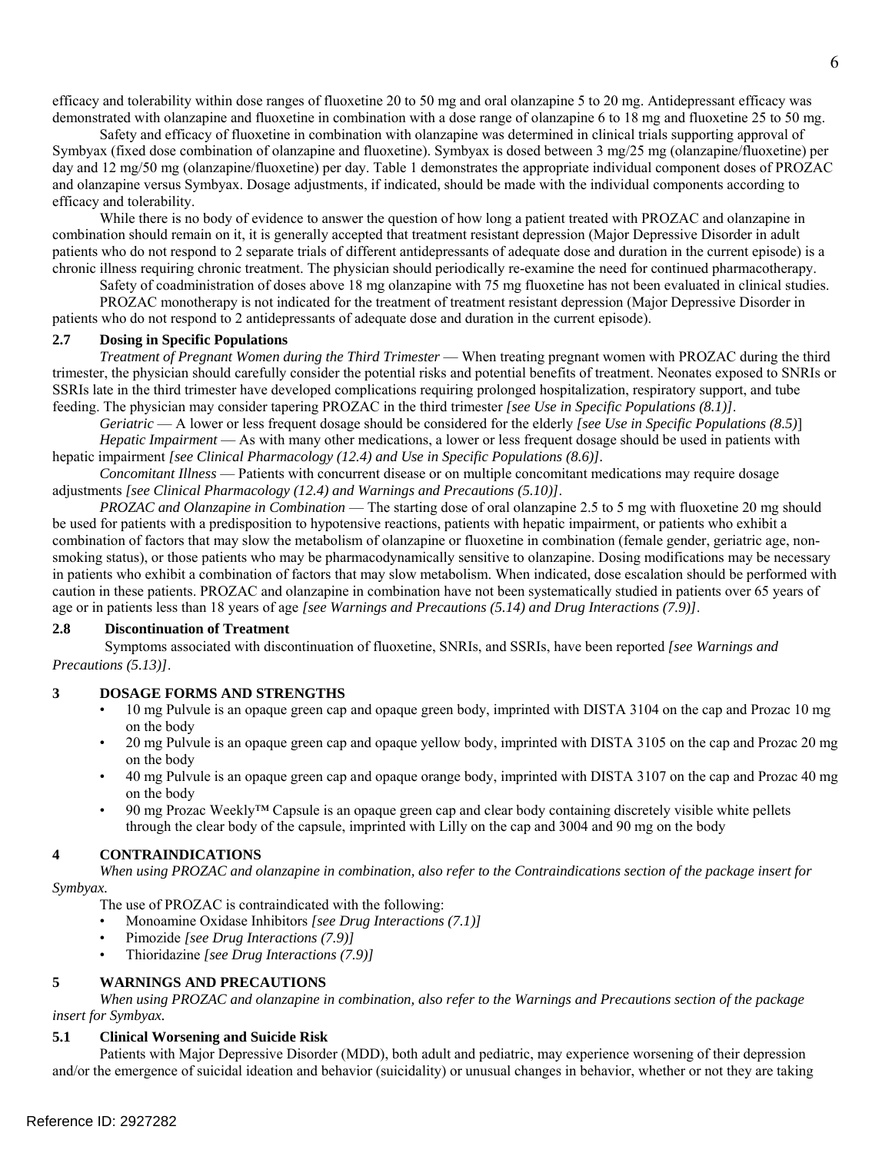efficacy and tolerability within dose ranges of fluoxetine 20 to 50 mg and oral olanzapine 5 to 20 mg. Antidepressant efficacy was demonstrated with olanzapine and fluoxetine in combination with a dose range of olanzapine 6 to 18 mg and fluoxetine 25 to 50 mg.

 day and 12 mg/50 mg (olanzapine/fluoxetine) per day. Table 1 demonstrates the appropriate individual component doses of PROZAC Safety and efficacy of fluoxetine in combination with olanzapine was determined in clinical trials supporting approval of Symbyax (fixed dose combination of olanzapine and fluoxetine). Symbyax is dosed between 3 mg/25 mg (olanzapine/fluoxetine) per and olanzapine versus Symbyax. Dosage adjustments, if indicated, should be made with the individual components according to efficacy and tolerability.

While there is no body of evidence to answer the question of how long a patient treated with PROZAC and olanzapine in combination should remain on it, it is generally accepted that treatment resistant depression (Major Depressive Disorder in adult patients who do not respond to 2 separate trials of different antidepressants of adequate dose and duration in the current episode) is a chronic illness requiring chronic treatment. The physician should periodically re-examine the need for continued pharmacotherapy.

Safety of coadministration of doses above 18 mg olanzapine with 75 mg fluoxetine has not been evaluated in clinical studies.

PROZAC monotherapy is not indicated for the treatment of treatment resistant depression (Major Depressive Disorder in patients who do not respond to 2 antidepressants of adequate dose and duration in the current episode).

#### **2.7 Dosing in Specific Populations**

*Treatment of Pregnant Women during the Third Trimester* — When treating pregnant women with PROZAC during the third trimester, the physician should carefully consider the potential risks and potential benefits of treatment. Neonates exposed to SNRIs or SSRIs late in the third trimester have developed complications requiring prolonged hospitalization, respiratory support, and tube feeding. The physician may consider tapering PROZAC in the third trimester *[see Use in Specific Populations (8.1)]*.

*Geriatric* — A lower or less frequent dosage should be considered for the elderly *[see Use in Specific Populations (8.5)*] *Hepatic Impairment* — As with many other medications, a lower or less frequent dosage should be used in patients with hepatic impairment *[see Clinical Pharmacology (12.4) and Use in Specific Populations (8.6)].* 

 *Concomitant Illness* — Patients with concurrent disease or on multiple concomitant medications may require dosage adjustments *[see Clinical Pharmacology (12.4) and Warnings and Precautions (5.10)]*.

 *PROZAC and Olanzapine in Combination* — The starting dose of oral olanzapine 2.5 to 5 mg with fluoxetine 20 mg should combination of factors that may slow the metabolism of olanzapine or fluoxetine in combination (female gender, geriatric age, non- in patients who exhibit a combination of factors that may slow metabolism. When indicated, dose escalation should be performed with be used for patients with a predisposition to hypotensive reactions, patients with hepatic impairment, or patients who exhibit a smoking status), or those patients who may be pharmacodynamically sensitive to olanzapine. Dosing modifications may be necessary caution in these patients. PROZAC and olanzapine in combination have not been systematically studied in patients over 65 years of age or in patients less than 18 years of age *[see Warnings and Precautions (5.14) and Drug Interactions (7.9)]*.

#### **2.8 Discontinuation of Treatment**

Symptoms associated with discontinuation of fluoxetine, SNRIs, and SSRIs, have been reported *[see Warnings and Precautions (5.13)]*.

#### **3 DOSAGE FORMS AND STRENGTHS**

- 10 mg Pulvule is an opaque green cap and opaque green body, imprinted with DISTA 3104 on the cap and Prozac 10 mg on the body
- 20 mg Pulvule is an opaque green cap and opaque yellow body, imprinted with DISTA 3105 on the cap and Prozac 20 mg on the body
- 40 mg Pulvule is an opaque green cap and opaque orange body, imprinted with DISTA 3107 on the cap and Prozac 40 mg on the body
- 90 mg Prozac Weekly™ Capsule is an opaque green cap and clear body containing discretely visible white pellets through the clear body of the capsule, imprinted with Lilly on the cap and 3004 and 90 mg on the body

#### **4 CONTRAINDICATIONS**

*When using PROZAC and olanzapine in combination, also refer to the Contraindications section of the package insert for Symbyax.* 

The use of PROZAC is contraindicated with the following:

- Monoamine Oxidase Inhibitors *[see Drug Interactions (7.1)]*
- Pimozide *[see Drug Interactions (7.9)]*
- Thioridazine *[see Drug Interactions (7.9)]*

#### **5 WARNINGS AND PRECAUTIONS**

*When using PROZAC and olanzapine in combination, also refer to the Warnings and Precautions section of the package insert for Symbyax.* 

#### **5.1 Clinical Worsening and Suicide Risk**

Patients with Major Depressive Disorder (MDD), both adult and pediatric, may experience worsening of their depression and/or the emergence of suicidal ideation and behavior (suicidality) or unusual changes in behavior, whether or not they are taking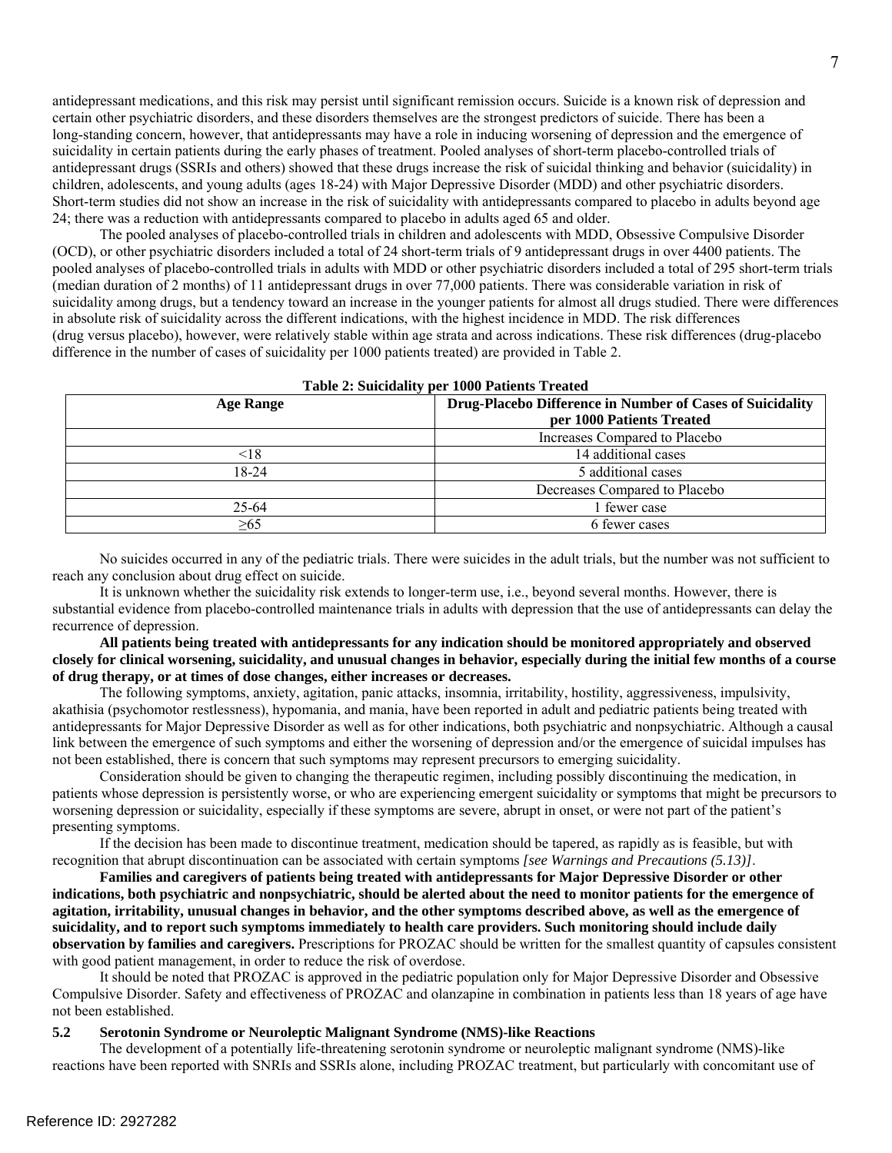antidepressant medications, and this risk may persist until significant remission occurs. Suicide is a known risk of depression and certain other psychiatric disorders, and these disorders themselves are the strongest predictors of suicide. There has been a long-standing concern, however, that antidepressants may have a role in inducing worsening of depression and the emergence of suicidality in certain patients during the early phases of treatment. Pooled analyses of short-term placebo-controlled trials of antidepressant drugs (SSRIs and others) showed that these drugs increase the risk of suicidal thinking and behavior (suicidality) in children, adolescents, and young adults (ages 18-24) with Major Depressive Disorder (MDD) and other psychiatric disorders. Short-term studies did not show an increase in the risk of suicidality with antidepressants compared to placebo in adults beyond age 24; there was a reduction with antidepressants compared to placebo in adults aged 65 and older.

The pooled analyses of placebo-controlled trials in children and adolescents with MDD, Obsessive Compulsive Disorder (OCD), or other psychiatric disorders included a total of 24 short-term trials of 9 antidepressant drugs in over 4400 patients. The pooled analyses of placebo-controlled trials in adults with MDD or other psychiatric disorders included a total of 295 short-term trials (median duration of 2 months) of 11 antidepressant drugs in over 77,000 patients. There was considerable variation in risk of suicidality among drugs, but a tendency toward an increase in the younger patients for almost all drugs studied. There were differences in absolute risk of suicidality across the different indications, with the highest incidence in MDD. The risk differences (drug versus placebo), however, were relatively stable within age strata and across indications. These risk differences (drug-placebo difference in the number of cases of suicidality per 1000 patients treated) are provided in Table 2.

| <b>Age Range</b> | Drug-Placebo Difference in Number of Cases of Suicidality<br>per 1000 Patients Treated |  |
|------------------|----------------------------------------------------------------------------------------|--|
|                  | Increases Compared to Placebo                                                          |  |
| $<$ 18           | 14 additional cases                                                                    |  |
| $18-24$          | 5 additional cases                                                                     |  |
|                  | Decreases Compared to Placebo                                                          |  |
| 25-64            | 1 fewer case                                                                           |  |
| $\geq 65$        | 6 fewer cases                                                                          |  |

### **Table 2: Suicidality per 1000 Patients Treated**

No suicides occurred in any of the pediatric trials. There were suicides in the adult trials, but the number was not sufficient to reach any conclusion about drug effect on suicide.

It is unknown whether the suicidality risk extends to longer-term use, i.e., beyond several months. However, there is substantial evidence from placebo-controlled maintenance trials in adults with depression that the use of antidepressants can delay the recurrence of depression.

 **of drug therapy, or at times of dose changes, either increases or decreases. All patients being treated with antidepressants for any indication should be monitored appropriately and observed closely for clinical worsening, suicidality, and unusual changes in behavior, especially during the initial few months of a course** 

The following symptoms, anxiety, agitation, panic attacks, insomnia, irritability, hostility, aggressiveness, impulsivity, akathisia (psychomotor restlessness), hypomania, and mania, have been reported in adult and pediatric patients being treated with antidepressants for Major Depressive Disorder as well as for other indications, both psychiatric and nonpsychiatric. Although a causal link between the emergence of such symptoms and either the worsening of depression and/or the emergence of suicidal impulses has not been established, there is concern that such symptoms may represent precursors to emerging suicidality.

 patients whose depression is persistently worse, or who are experiencing emergent suicidality or symptoms that might be precursors to Consideration should be given to changing the therapeutic regimen, including possibly discontinuing the medication, in worsening depression or suicidality, especially if these symptoms are severe, abrupt in onset, or were not part of the patient's presenting symptoms.

If the decision has been made to discontinue treatment, medication should be tapered, as rapidly as is feasible, but with recognition that abrupt discontinuation can be associated with certain symptoms *[see Warnings and Precautions (5.13)]*.

with good patient management, in order to reduce the risk of overdose. **Families and caregivers of patients being treated with antidepressants for Major Depressive Disorder or other indications, both psychiatric and nonpsychiatric, should be alerted about the need to monitor patients for the emergence of agitation, irritability, unusual changes in behavior, and the other symptoms described above, as well as the emergence of suicidality, and to report such symptoms immediately to health care providers. Such monitoring should include daily observation by families and caregivers.** Prescriptions for PROZAC should be written for the smallest quantity of capsules consistent

It should be noted that PROZAC is approved in the pediatric population only for Major Depressive Disorder and Obsessive Compulsive Disorder. Safety and effectiveness of PROZAC and olanzapine in combination in patients less than 18 years of age have not been established.

#### **5.2 Serotonin Syndrome or Neuroleptic Malignant Syndrome (NMS)-like Reactions**

The development of a potentially life-threatening serotonin syndrome or neuroleptic malignant syndrome (NMS)-like reactions have been reported with SNRIs and SSRIs alone, including PROZAC treatment, but particularly with concomitant use of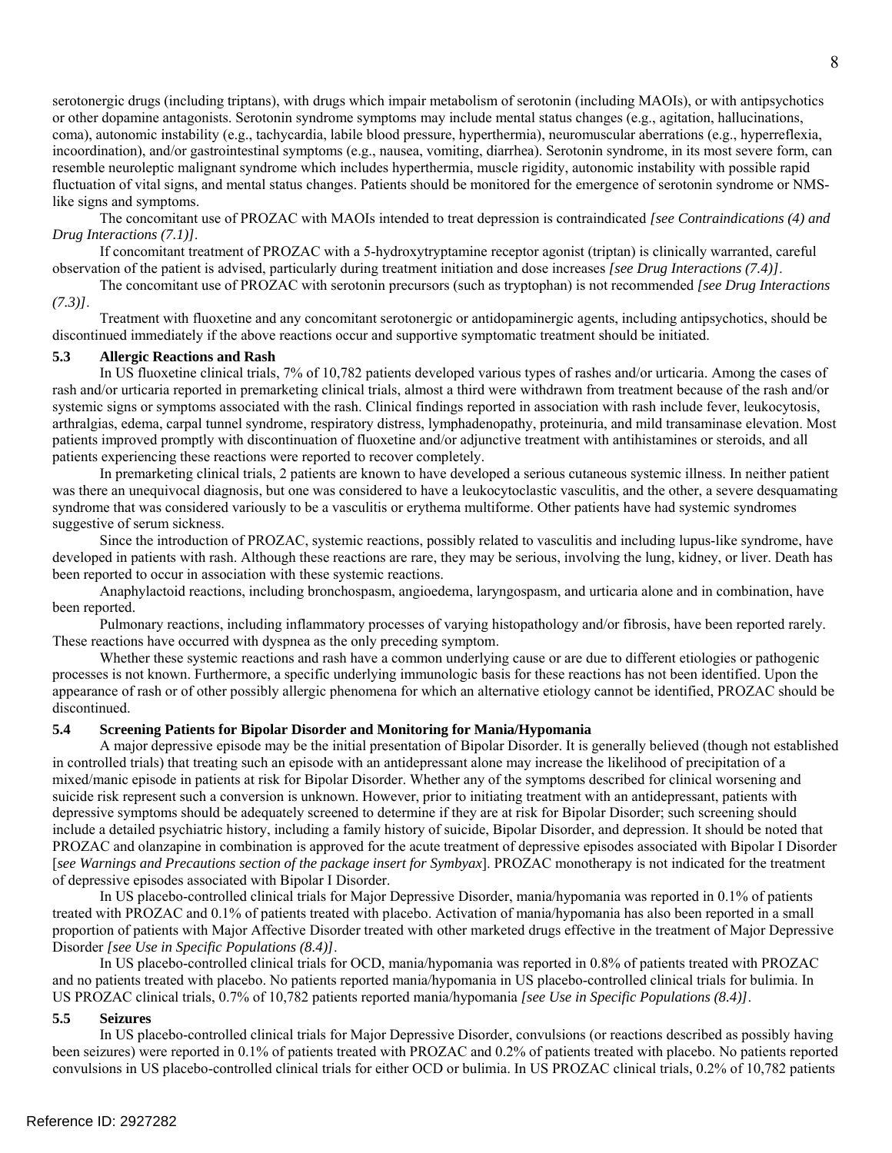serotonergic drugs (including triptans), with drugs which impair metabolism of serotonin (including MAOIs), or with antipsychotics incoordination), and/or gastrointestinal symptoms (e.g., nausea, vomiting, diarrhea). Serotonin syndrome, in its most severe form, can or other dopamine antagonists. Serotonin syndrome symptoms may include mental status changes (e.g., agitation, hallucinations, coma), autonomic instability (e.g., tachycardia, labile blood pressure, hyperthermia), neuromuscular aberrations (e.g., hyperreflexia, resemble neuroleptic malignant syndrome which includes hyperthermia, muscle rigidity, autonomic instability with possible rapid fluctuation of vital signs, and mental status changes. Patients should be monitored for the emergence of serotonin syndrome or NMSlike signs and symptoms.

The concomitant use of PROZAC with MAOIs intended to treat depression is contraindicated *[see Contraindications (4) and Drug Interactions (7.1)]*.

If concomitant treatment of PROZAC with a 5-hydroxytryptamine receptor agonist (triptan) is clinically warranted, careful observation of the patient is advised, particularly during treatment initiation and dose increases *[see Drug Interactions (7.4)]*.

The concomitant use of PROZAC with serotonin precursors (such as tryptophan) is not recommended *[see Drug Interactions (7.3)]*.

Treatment with fluoxetine and any concomitant serotonergic or antidopaminergic agents, including antipsychotics, should be discontinued immediately if the above reactions occur and supportive symptomatic treatment should be initiated.

#### **5.3 Allergic Reactions and Rash**

In US fluoxetine clinical trials, 7% of 10,782 patients developed various types of rashes and/or urticaria. Among the cases of rash and/or urticaria reported in premarketing clinical trials, almost a third were withdrawn from treatment because of the rash and/or systemic signs or symptoms associated with the rash. Clinical findings reported in association with rash include fever, leukocytosis, arthralgias, edema, carpal tunnel syndrome, respiratory distress, lymphadenopathy, proteinuria, and mild transaminase elevation. Most patients improved promptly with discontinuation of fluoxetine and/or adjunctive treatment with antihistamines or steroids, and all patients experiencing these reactions were reported to recover completely.

In premarketing clinical trials, 2 patients are known to have developed a serious cutaneous systemic illness. In neither patient was there an unequivocal diagnosis, but one was considered to have a leukocytoclastic vasculitis, and the other, a severe desquamating syndrome that was considered variously to be a vasculitis or erythema multiforme. Other patients have had systemic syndromes suggestive of serum sickness.

 developed in patients with rash. Although these reactions are rare, they may be serious, involving the lung, kidney, or liver. Death has Since the introduction of PROZAC, systemic reactions, possibly related to vasculitis and including lupus-like syndrome, have been reported to occur in association with these systemic reactions.

Anaphylactoid reactions, including bronchospasm, angioedema, laryngospasm, and urticaria alone and in combination, have been reported.

Pulmonary reactions, including inflammatory processes of varying histopathology and/or fibrosis, have been reported rarely. These reactions have occurred with dyspnea as the only preceding symptom.

Whether these systemic reactions and rash have a common underlying cause or are due to different etiologies or pathogenic processes is not known. Furthermore, a specific underlying immunologic basis for these reactions has not been identified. Upon the appearance of rash or of other possibly allergic phenomena for which an alternative etiology cannot be identified, PROZAC should be discontinued.

#### **5.4 Screening Patients for Bipolar Disorder and Monitoring for Mania/Hypomania**

 mixed/manic episode in patients at risk for Bipolar Disorder. Whether any of the symptoms described for clinical worsening and A major depressive episode may be the initial presentation of Bipolar Disorder. It is generally believed (though not established in controlled trials) that treating such an episode with an antidepressant alone may increase the likelihood of precipitation of a suicide risk represent such a conversion is unknown. However, prior to initiating treatment with an antidepressant, patients with depressive symptoms should be adequately screened to determine if they are at risk for Bipolar Disorder; such screening should include a detailed psychiatric history, including a family history of suicide, Bipolar Disorder, and depression. It should be noted that PROZAC and olanzapine in combination is approved for the acute treatment of depressive episodes associated with Bipolar I Disorder [*see Warnings and Precautions section of the package insert for Symbyax*]. PROZAC monotherapy is not indicated for the treatment of depressive episodes associated with Bipolar I Disorder.

In US placebo-controlled clinical trials for Major Depressive Disorder, mania/hypomania was reported in 0.1% of patients treated with PROZAC and 0.1% of patients treated with placebo. Activation of mania/hypomania has also been reported in a small proportion of patients with Major Affective Disorder treated with other marketed drugs effective in the treatment of Major Depressive Disorder *[see Use in Specific Populations (8.4)]*.

In US placebo-controlled clinical trials for OCD, mania/hypomania was reported in 0.8% of patients treated with PROZAC and no patients treated with placebo. No patients reported mania/hypomania in US placebo-controlled clinical trials for bulimia. In US PROZAC clinical trials, 0.7% of 10,782 patients reported mania/hypomania *[see Use in Specific Populations (8.4)]*.

### **5.5 Seizures**

In US placebo-controlled clinical trials for Major Depressive Disorder, convulsions (or reactions described as possibly having been seizures) were reported in 0.1% of patients treated with PROZAC and 0.2% of patients treated with placebo. No patients reported convulsions in US placebo-controlled clinical trials for either OCD or bulimia. In US PROZAC clinical trials, 0.2% of 10,782 patients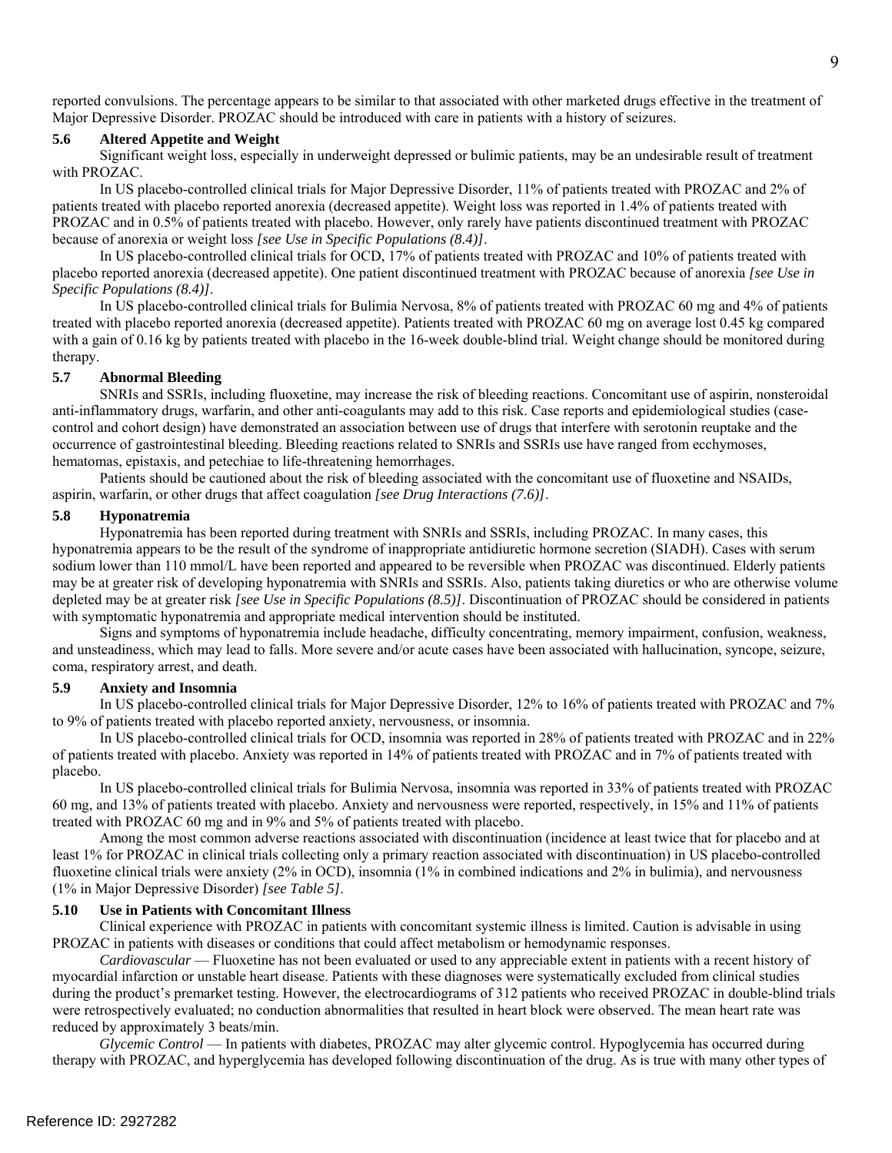reported convulsions. The percentage appears to be similar to that associated with other marketed drugs effective in the treatment of Major Depressive Disorder. PROZAC should be introduced with care in patients with a history of seizures.

#### **5.6 Altered Appetite and Weight**

Significant weight loss, especially in underweight depressed or bulimic patients, may be an undesirable result of treatment with PROZAC.

In US placebo-controlled clinical trials for Major Depressive Disorder, 11% of patients treated with PROZAC and 2% of patients treated with placebo reported anorexia (decreased appetite). Weight loss was reported in 1.4% of patients treated with PROZAC and in 0.5% of patients treated with placebo. However, only rarely have patients discontinued treatment with PROZAC because of anorexia or weight loss *[see Use in Specific Populations (8.4)]*.

In US placebo-controlled clinical trials for OCD, 17% of patients treated with PROZAC and 10% of patients treated with placebo reported anorexia (decreased appetite). One patient discontinued treatment with PROZAC because of anorexia *[see Use in Specific Populations (8.4)]*.

In US placebo-controlled clinical trials for Bulimia Nervosa, 8% of patients treated with PROZAC 60 mg and 4% of patients treated with placebo reported anorexia (decreased appetite). Patients treated with PROZAC 60 mg on average lost 0.45 kg compared with a gain of 0.16 kg by patients treated with placebo in the 16-week double-blind trial. Weight change should be monitored during therapy.

#### **5.7 Abnormal Bleeding**

SNRIs and SSRIs, including fluoxetine, may increase the risk of bleeding reactions. Concomitant use of aspirin, nonsteroidal anti-inflammatory drugs, warfarin, and other anti-coagulants may add to this risk. Case reports and epidemiological studies (casecontrol and cohort design) have demonstrated an association between use of drugs that interfere with serotonin reuptake and the occurrence of gastrointestinal bleeding. Bleeding reactions related to SNRIs and SSRIs use have ranged from ecchymoses, hematomas, epistaxis, and petechiae to life-threatening hemorrhages.

Patients should be cautioned about the risk of bleeding associated with the concomitant use of fluoxetine and NSAIDs, aspirin, warfarin, or other drugs that affect coagulation *[see Drug Interactions (7.6)]*.

#### **5.8 Hyponatremia**

 Hyponatremia has been reported during treatment with SNRIs and SSRIs, including PROZAC. In many cases, this hyponatremia appears to be the result of the syndrome of inappropriate antidiuretic hormone secretion (SIADH). Cases with serum sodium lower than 110 mmol/L have been reported and appeared to be reversible when PROZAC was discontinued. Elderly patients may be at greater risk of developing hyponatremia with SNRIs and SSRIs. Also, patients taking diuretics or who are otherwise volume depleted may be at greater risk *[see Use in Specific Populations (8.5)]*. Discontinuation of PROZAC should be considered in patients with symptomatic hyponatremia and appropriate medical intervention should be instituted.

 Signs and symptoms of hyponatremia include headache, difficulty concentrating, memory impairment, confusion, weakness, and unsteadiness, which may lead to falls. More severe and/or acute cases have been associated with hallucination, syncope, seizure, coma, respiratory arrest, and death.

#### **5.9 Anxiety and Insomnia**

In US placebo-controlled clinical trials for Major Depressive Disorder, 12% to 16% of patients treated with PROZAC and 7% to 9% of patients treated with placebo reported anxiety, nervousness, or insomnia.

In US placebo-controlled clinical trials for OCD, insomnia was reported in 28% of patients treated with PROZAC and in 22% of patients treated with placebo. Anxiety was reported in 14% of patients treated with PROZAC and in 7% of patients treated with placebo.

In US placebo-controlled clinical trials for Bulimia Nervosa, insomnia was reported in 33% of patients treated with PROZAC 60 mg, and 13% of patients treated with placebo. Anxiety and nervousness were reported, respectively, in 15% and 11% of patients treated with PROZAC 60 mg and in 9% and 5% of patients treated with placebo.

Among the most common adverse reactions associated with discontinuation (incidence at least twice that for placebo and at least 1% for PROZAC in clinical trials collecting only a primary reaction associated with discontinuation) in US placebo-controlled fluoxetine clinical trials were anxiety (2% in OCD), insomnia (1% in combined indications and 2% in bulimia), and nervousness (1% in Major Depressive Disorder) *[see Table 5]*.

#### **5.10 Use in Patients with Concomitant Illness**

Clinical experience with PROZAC in patients with concomitant systemic illness is limited. Caution is advisable in using PROZAC in patients with diseases or conditions that could affect metabolism or hemodynamic responses.

*Cardiovascular* — Fluoxetine has not been evaluated or used to any appreciable extent in patients with a recent history of myocardial infarction or unstable heart disease. Patients with these diagnoses were systematically excluded from clinical studies during the product's premarket testing. However, the electrocardiograms of 312 patients who received PROZAC in double-blind trials were retrospectively evaluated; no conduction abnormalities that resulted in heart block were observed. The mean heart rate was reduced by approximately 3 beats/min.

 therapy with PROZAC, and hyperglycemia has developed following discontinuation of the drug. As is true with many other types of *Glycemic Control* — In patients with diabetes, PROZAC may alter glycemic control. Hypoglycemia has occurred during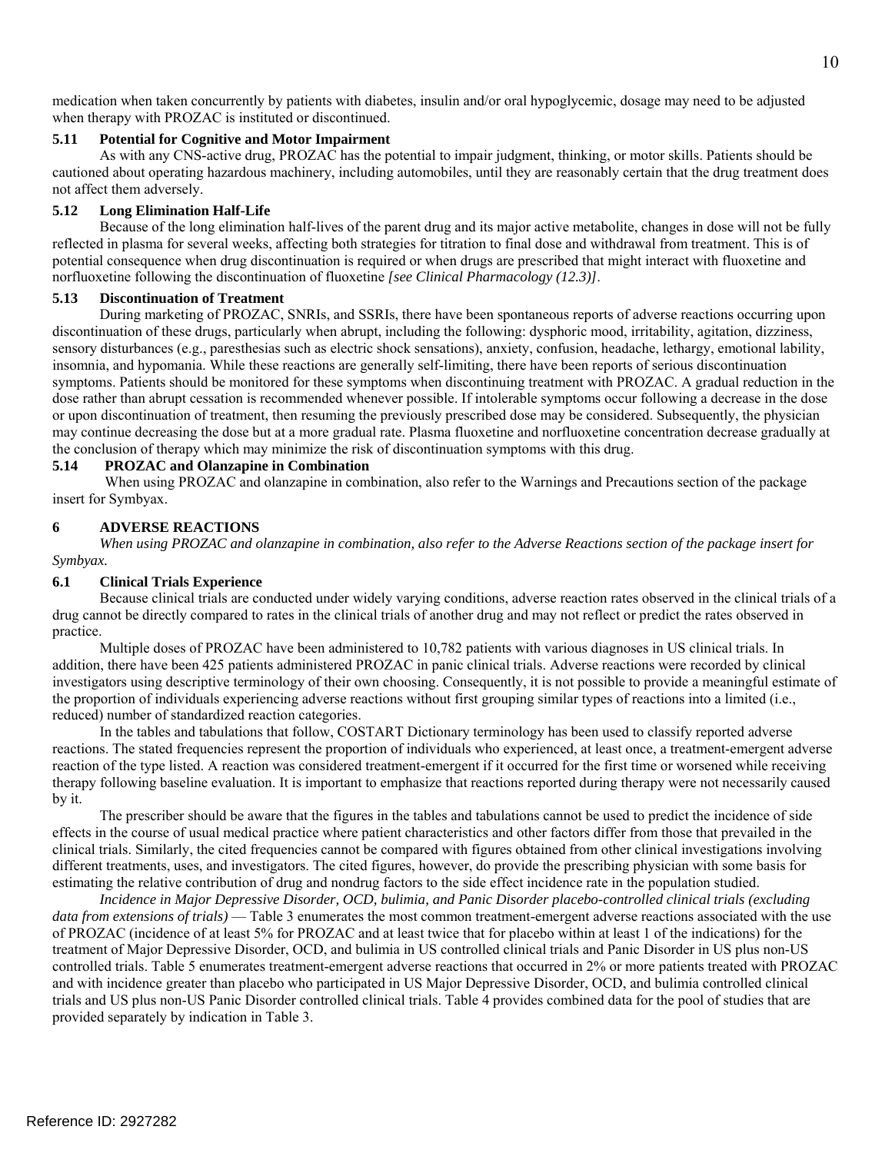medication when taken concurrently by patients with diabetes, insulin and/or oral hypoglycemic, dosage may need to be adjusted when therapy with PROZAC is instituted or discontinued.

### **5.11 Potential for Cognitive and Motor Impairment**

As with any CNS-active drug, PROZAC has the potential to impair judgment, thinking, or motor skills. Patients should be cautioned about operating hazardous machinery, including automobiles, until they are reasonably certain that the drug treatment does not affect them adversely.

#### **5.12 Long Elimination Half-Life**

Because of the long elimination half-lives of the parent drug and its major active metabolite, changes in dose will not be fully reflected in plasma for several weeks, affecting both strategies for titration to final dose and withdrawal from treatment. This is of potential consequence when drug discontinuation is required or when drugs are prescribed that might interact with fluoxetine and norfluoxetine following the discontinuation of fluoxetine *[see Clinical Pharmacology (12.3)]*.

#### **5.13 Discontinuation of Treatment**

 the conclusion of therapy which may minimize the risk of discontinuation symptoms with this drug. During marketing of PROZAC, SNRIs, and SSRIs, there have been spontaneous reports of adverse reactions occurring upon discontinuation of these drugs, particularly when abrupt, including the following: dysphoric mood, irritability, agitation, dizziness, sensory disturbances (e.g., paresthesias such as electric shock sensations), anxiety, confusion, headache, lethargy, emotional lability, insomnia, and hypomania. While these reactions are generally self-limiting, there have been reports of serious discontinuation symptoms. Patients should be monitored for these symptoms when discontinuing treatment with PROZAC. A gradual reduction in the dose rather than abrupt cessation is recommended whenever possible. If intolerable symptoms occur following a decrease in the dose or upon discontinuation of treatment, then resuming the previously prescribed dose may be considered. Subsequently, the physician may continue decreasing the dose but at a more gradual rate. Plasma fluoxetine and norfluoxetine concentration decrease gradually at

### **5.14 PROZAC and Olanzapine in Combination**

 insert for Symbyax. When using PROZAC and olanzapine in combination, also refer to the Warnings and Precautions section of the package

### **6 ADVERSE REACTIONS**

*When using PROZAC and olanzapine in combination, also refer to the Adverse Reactions section of the package insert for Symbyax.* 

#### **6.1 Clinical Trials Experience**

Because clinical trials are conducted under widely varying conditions, adverse reaction rates observed in the clinical trials of a drug cannot be directly compared to rates in the clinical trials of another drug and may not reflect or predict the rates observed in practice.

Multiple doses of PROZAC have been administered to 10,782 patients with various diagnoses in US clinical trials. In addition, there have been 425 patients administered PROZAC in panic clinical trials. Adverse reactions were recorded by clinical investigators using descriptive terminology of their own choosing. Consequently, it is not possible to provide a meaningful estimate of the proportion of individuals experiencing adverse reactions without first grouping similar types of reactions into a limited (i.e., reduced) number of standardized reaction categories.

 therapy following baseline evaluation. It is important to emphasize that reactions reported during therapy were not necessarily caused In the tables and tabulations that follow, COSTART Dictionary terminology has been used to classify reported adverse reactions. The stated frequencies represent the proportion of individuals who experienced, at least once, a treatment-emergent adverse reaction of the type listed. A reaction was considered treatment-emergent if it occurred for the first time or worsened while receiving by it.

The prescriber should be aware that the figures in the tables and tabulations cannot be used to predict the incidence of side effects in the course of usual medical practice where patient characteristics and other factors differ from those that prevailed in the clinical trials. Similarly, the cited frequencies cannot be compared with figures obtained from other clinical investigations involving different treatments, uses, and investigators. The cited figures, however, do provide the prescribing physician with some basis for estimating the relative contribution of drug and nondrug factors to the side effect incidence rate in the population studied.

 controlled trials. Table 5 enumerates treatment-emergent adverse reactions that occurred in 2% or more patients treated with PROZAC *Incidence in Major Depressive Disorder, OCD, bulimia, and Panic Disorder placebo-controlled clinical trials (excluding data from extensions of trials)* — Table 3 enumerates the most common treatment-emergent adverse reactions associated with the use of PROZAC (incidence of at least 5% for PROZAC and at least twice that for placebo within at least 1 of the indications) for the treatment of Major Depressive Disorder, OCD, and bulimia in US controlled clinical trials and Panic Disorder in US plus non-US and with incidence greater than placebo who participated in US Major Depressive Disorder, OCD, and bulimia controlled clinical trials and US plus non-US Panic Disorder controlled clinical trials. Table 4 provides combined data for the pool of studies that are provided separately by indication in Table 3.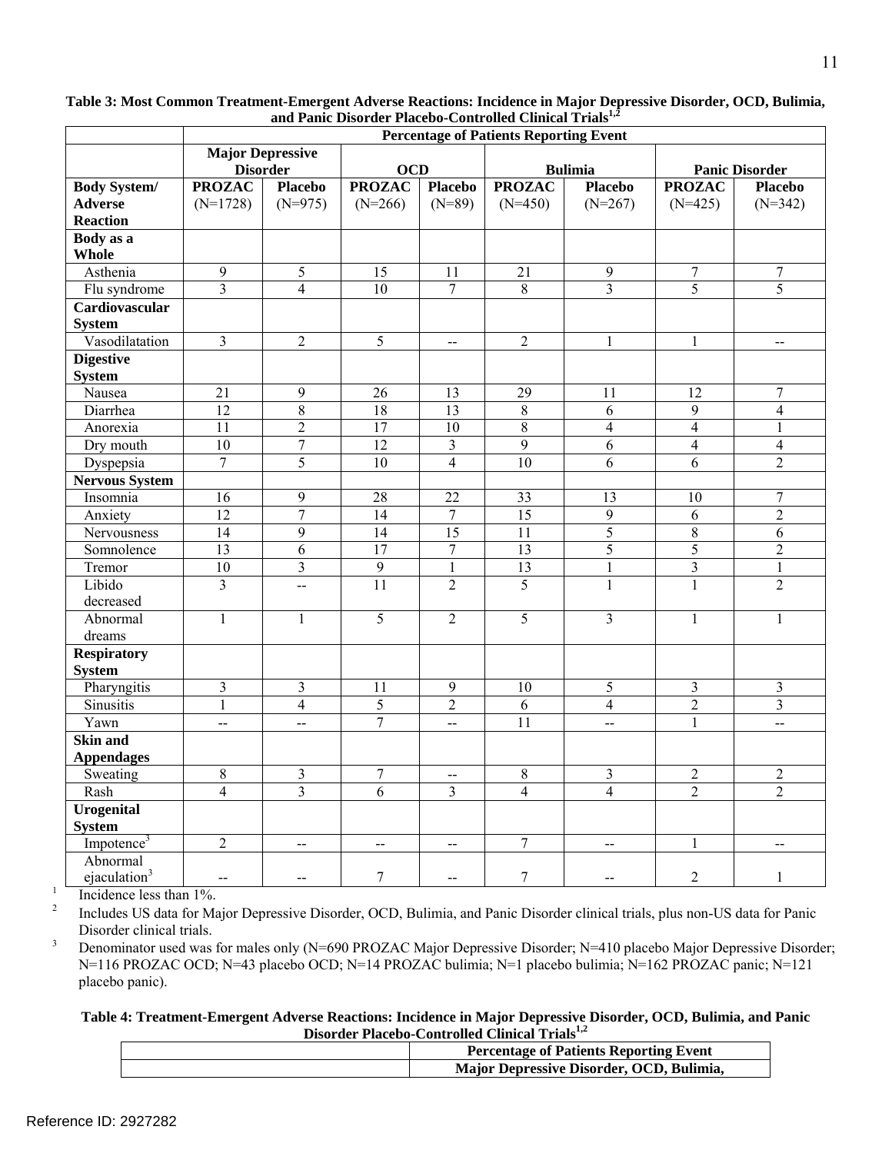|                          | <b>Percentage of Patients Reporting Event</b> |                          |                          |                          |                 |                          |                |                                               |
|--------------------------|-----------------------------------------------|--------------------------|--------------------------|--------------------------|-----------------|--------------------------|----------------|-----------------------------------------------|
|                          | <b>Major Depressive</b>                       |                          |                          |                          |                 |                          |                |                                               |
|                          | <b>Disorder</b>                               |                          | <b>OCD</b>               |                          |                 | <b>Bulimia</b>           |                | <b>Panic Disorder</b>                         |
| <b>Body System/</b>      | <b>PROZAC</b>                                 | <b>Placebo</b>           | <b>PROZAC</b>            | <b>Placebo</b>           | <b>PROZAC</b>   | <b>Placebo</b>           | <b>PROZAC</b>  | <b>Placebo</b>                                |
| <b>Adverse</b>           | $(N=1728)$                                    | $(N=975)$                | $(N=266)$                | $(N=89)$                 | $(N=450)$       | $(N=267)$                | $(N=425)$      | $(N=342)$                                     |
| <b>Reaction</b>          |                                               |                          |                          |                          |                 |                          |                |                                               |
| Body as a                |                                               |                          |                          |                          |                 |                          |                |                                               |
| Whole                    |                                               |                          |                          |                          |                 |                          |                |                                               |
| Asthenia                 | 9                                             | 5                        | 15                       | 11                       | 21              | 9                        | 7              | 7                                             |
| Flu syndrome             | 3                                             | $\overline{4}$           | 10                       | $\overline{7}$           | 8               | $\overline{3}$           | 5              | 5                                             |
| Cardiovascular           |                                               |                          |                          |                          |                 |                          |                |                                               |
| <b>System</b>            |                                               |                          |                          |                          |                 |                          |                |                                               |
| Vasodilatation           | $\overline{3}$                                | $\overline{2}$           | 5                        | $-$                      | $\overline{2}$  | $\mathbf{1}$             | $\mathbf{1}$   | $-$                                           |
| <b>Digestive</b>         |                                               |                          |                          |                          |                 |                          |                |                                               |
| <b>System</b>            |                                               |                          |                          |                          |                 |                          |                |                                               |
| Nausea                   | 21                                            | 9                        | 26                       | 13                       | 29              | 11                       | 12             | 7                                             |
| Diarrhea                 | $\overline{12}$                               | $\,$ 8 $\,$              | $\overline{18}$          | 13                       | $\overline{8}$  | 6                        | 9              | $\overline{4}$                                |
| Anorexia                 | 11                                            | $\overline{c}$           | 17                       | 10                       | $\overline{8}$  | $\overline{\mathcal{A}}$ | $\overline{4}$ | 1                                             |
| Dry mouth                | 10                                            | 7                        | $\overline{12}$          | 3                        | $\overline{9}$  | 6                        | $\overline{4}$ | $\overline{4}$                                |
| Dyspepsia                | $\overline{7}$                                | 5                        | 10                       | $\overline{\mathbf{4}}$  | 10              | 6                        | 6              | $\overline{2}$                                |
| <b>Nervous System</b>    |                                               |                          |                          |                          |                 |                          |                |                                               |
| Insomnia                 | 16                                            | 9                        | 28                       | 22                       | 33              | 13                       | 10             | 7                                             |
| Anxiety                  | 12                                            | 7                        | 14                       | 7                        | 15              | 9                        | 6              | $\sqrt{2}$                                    |
| Nervousness              | 14                                            | 9                        | 14                       | 15                       | 11              | 5                        | $8\,$          | $\sqrt{6}$                                    |
| Somnolence               | 13                                            | 6                        | 17                       | $\boldsymbol{7}$         | 13              | 5                        | $\mathfrak s$  | $\sqrt{2}$                                    |
| Tremor                   | 10                                            | 3                        | $\boldsymbol{9}$         | 1                        | $\overline{13}$ | $\mathbf{1}$             | $\overline{3}$ | 1                                             |
| Libido                   | 3                                             | $\overline{\phantom{a}}$ | $\overline{11}$          | $\overline{c}$           | 5               | $\mathbf{1}$             | $\mathbf{1}$   | $\overline{2}$                                |
| decreased                |                                               |                          |                          |                          |                 |                          |                |                                               |
| Abnormal                 | 1                                             | 1                        | 5                        | $\overline{2}$           | 5               | 3                        | $\mathbf{1}$   | 1                                             |
| dreams                   |                                               |                          |                          |                          |                 |                          |                |                                               |
| <b>Respiratory</b>       |                                               |                          |                          |                          |                 |                          |                |                                               |
| <b>System</b>            |                                               |                          |                          |                          |                 |                          |                |                                               |
| Pharyngitis              | $\mathfrak{Z}$                                | $\overline{\mathbf{3}}$  | 11                       | 9                        | 10              | 5                        | $\mathfrak{Z}$ | 3                                             |
| Sinusitis                | 1                                             | $\overline{4}$           | 5                        | $\overline{2}$           | 6               | $\overline{4}$           | $\overline{2}$ | $\overline{3}$                                |
| Yawn                     | $\overline{\phantom{a}}$                      | $\overline{a}$           | $\overline{7}$           | $\overline{a}$           | $\overline{11}$ | --                       | $\overline{1}$ | $\overline{a}$                                |
| <b>Skin and</b>          |                                               |                          |                          |                          |                 |                          |                |                                               |
| <b>Appendages</b>        |                                               |                          |                          |                          |                 |                          |                |                                               |
| Sweating                 | 8                                             | 3                        | 7                        | $\overline{\phantom{m}}$ | 8               | 3                        | $\overline{2}$ | $\overline{c}$                                |
| Rash                     | $\overline{4}$                                | 3                        | 6                        | $\overline{\mathbf{3}}$  | $\overline{4}$  | $\overline{4}$           | $\sqrt{2}$     | $\overline{2}$                                |
| <b>Urogenital</b>        |                                               |                          |                          |                          |                 |                          |                |                                               |
| <b>System</b>            |                                               |                          |                          |                          |                 |                          |                |                                               |
| Impotence <sup>3</sup>   | $\overline{2}$                                | $\sim$                   | $\overline{\phantom{a}}$ | $\overline{\phantom{a}}$ | $\overline{7}$  | $\overline{\phantom{a}}$ | $\mathbf{1}$   | $\mathord{\hspace{1pt}\text{--}\hspace{1pt}}$ |
| Abnormal                 |                                               |                          |                          |                          |                 |                          |                |                                               |
| ejaculation <sup>3</sup> |                                               |                          | $7\phantom{.0}$          | --                       | $\tau$          |                          | $\overline{2}$ | 1                                             |

#### **Table 3: Most Common Treatment-Emergent Adverse Reactions: Incidence in Major Depressive Disorder, OCD, Bulimia, and Panic Disorder Placebo-Controlled Clinical Trials1,2**

<sup>1</sup> Incidence less than 1%.<br><sup>2</sup> Includes US data for Major Depressive Disorder, OCD, Bulimia, and Panic Disorder clinical trials, plus non-US data for Panic

Disorder clinical trials.<br><sup>3</sup> Denominator used was for males only (N=690 PROZAC Major Depressive Disorder; N=410 placebo Major Depressive Disorder; N=116 PROZAC OCD; N=43 placebo OCD; N=14 PROZAC bulimia; N=1 placebo bulimia; N=162 PROZAC panic; N=121 placebo panic).

#### **Table 4: Treatment-Emergent Adverse Reactions: Incidence in Major Depressive Disorder, OCD, Bulimia, and Panic**  Disorder Placebo-Controlled Clinical Trials<sup>1,2</sup>

| <b>Percentage of Patients Reporting Event</b> |
|-----------------------------------------------|
| Major Depressive Disorder, OCD, Bulimia,      |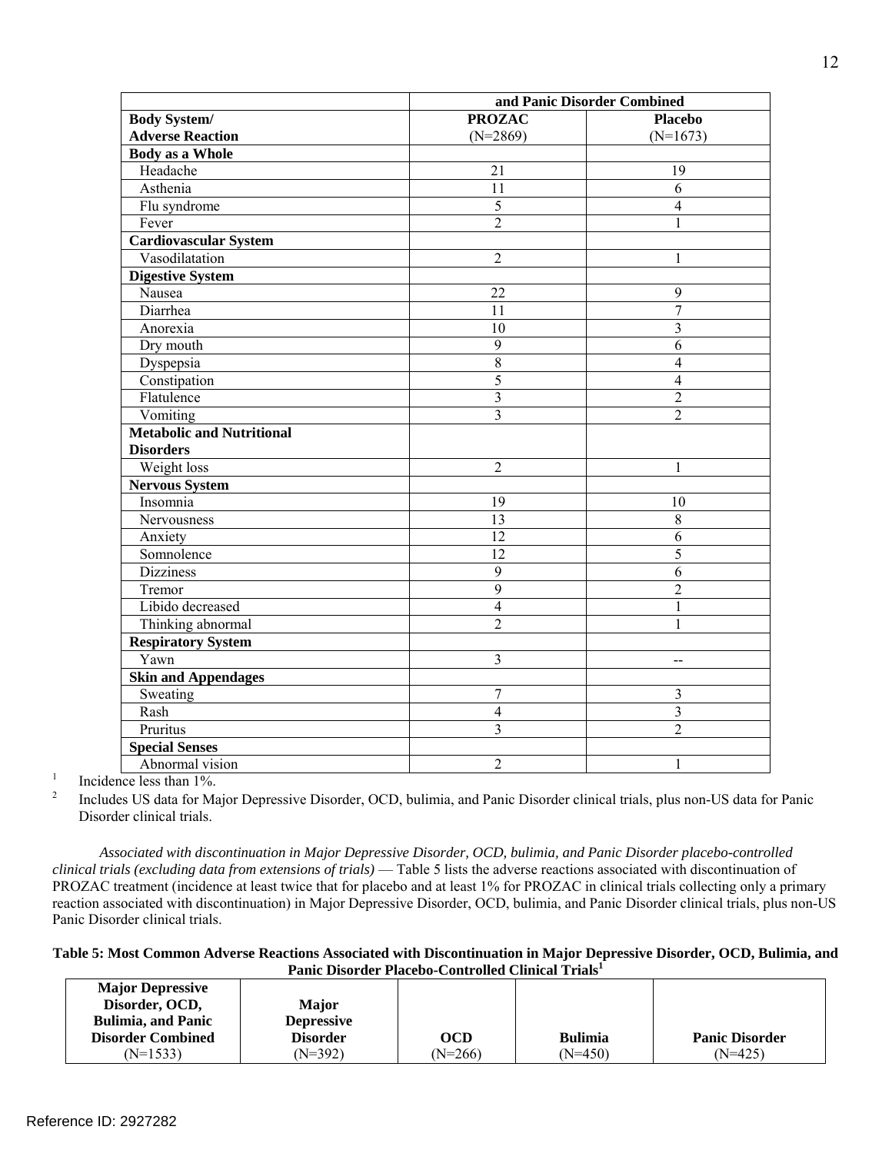|                                  | and Panic Disorder Combined |                         |  |  |
|----------------------------------|-----------------------------|-------------------------|--|--|
| <b>Body System/</b>              | <b>PROZAC</b>               | <b>Placebo</b>          |  |  |
| <b>Adverse Reaction</b>          | $(N=2869)$                  | $(N=1673)$              |  |  |
| <b>Body as a Whole</b>           |                             |                         |  |  |
| Headache                         | 21                          | 19                      |  |  |
| Asthenia                         | 11                          | 6                       |  |  |
| Flu syndrome                     | 5                           | $\overline{4}$          |  |  |
| Fever                            | $\overline{2}$              | 1                       |  |  |
| <b>Cardiovascular System</b>     |                             |                         |  |  |
| Vasodilatation                   | $\overline{2}$              | $\mathbf{1}$            |  |  |
| <b>Digestive System</b>          |                             |                         |  |  |
| Nausea                           | 22                          | 9                       |  |  |
| Diarrhea                         | 11                          | $\overline{7}$          |  |  |
| Anorexia                         | 10                          | 3                       |  |  |
| Dry mouth                        | $\overline{9}$              | $\overline{6}$          |  |  |
| Dyspepsia                        | 8                           | $\overline{4}$          |  |  |
| Constipation                     | 5                           | $\overline{4}$          |  |  |
| Flatulence                       | $\overline{\mathbf{3}}$     | $\overline{c}$          |  |  |
| Vomiting                         | 3                           | $\overline{2}$          |  |  |
| <b>Metabolic and Nutritional</b> |                             |                         |  |  |
| <b>Disorders</b>                 |                             |                         |  |  |
| Weight loss                      | $\overline{2}$              | 1                       |  |  |
| <b>Nervous System</b>            |                             |                         |  |  |
| Insomnia                         | 19                          | 10                      |  |  |
| Nervousness                      | $\overline{13}$             | $\overline{8}$          |  |  |
| Anxiety                          | $\overline{12}$             | $\overline{6}$          |  |  |
| Somnolence                       | 12                          | 5                       |  |  |
| <b>Dizziness</b>                 | $\overline{9}$              | $\overline{6}$          |  |  |
| Tremor                           | 9                           | $\overline{c}$          |  |  |
| Libido decreased                 | $\overline{4}$              | $\mathbf{1}$            |  |  |
| Thinking abnormal                | $\overline{2}$              | $\mathbf{1}$            |  |  |
| <b>Respiratory System</b>        |                             |                         |  |  |
| Yawn                             | 3                           | --                      |  |  |
| <b>Skin and Appendages</b>       |                             |                         |  |  |
| Sweating                         | $\boldsymbol{7}$            | $\overline{3}$          |  |  |
| Rash                             | $\overline{4}$              | $\overline{\mathbf{3}}$ |  |  |
| Pruritus                         | $\overline{3}$              | $\overline{2}$          |  |  |
| <b>Special Senses</b>            |                             |                         |  |  |
| Abnormal vision                  | $\overline{2}$              | 1                       |  |  |

1 Incidence less than 1%.<br><sup>2</sup> Includes US data for Major Depressive Disorder, OCD, bulimia, and Panic Disorder clinical trials, plus non-US data for Panic Disorder clinical trials.

*Associated with discontinuation in Major Depressive Disorder, OCD, bulimia, and Panic Disorder placebo-controlled clinical trials (excluding data from extensions of trials)* — Table 5 lists the adverse reactions associated with discontinuation of PROZAC treatment (incidence at least twice that for placebo and at least 1% for PROZAC in clinical trials collecting only a primary reaction associated with discontinuation) in Major Depressive Disorder, OCD, bulimia, and Panic Disorder clinical trials, plus non-US Panic Disorder clinical trials.

**Table 5: Most Common Adverse Reactions Associated with Discontinuation in Major Depressive Disorder, OCD, Bulimia, and Panic Disorder Placebo-Controlled Clinical Trials<sup>1</sup>**

| <b>Major Depressive</b><br>Disorder, OCD,<br><b>Major</b><br><b>Bulimia, and Panic</b><br><b>Depressive</b><br><b>Disorder Combined</b><br><b>Disorder</b><br>$(N=392)$<br>$(N=1533)$ | <b>OCD</b><br>$(N=266)$ | <b>Bulimia</b><br>$(N=450)$ | <b>Panic Disorder</b><br>$(N=425)$ |
|---------------------------------------------------------------------------------------------------------------------------------------------------------------------------------------|-------------------------|-----------------------------|------------------------------------|
|---------------------------------------------------------------------------------------------------------------------------------------------------------------------------------------|-------------------------|-----------------------------|------------------------------------|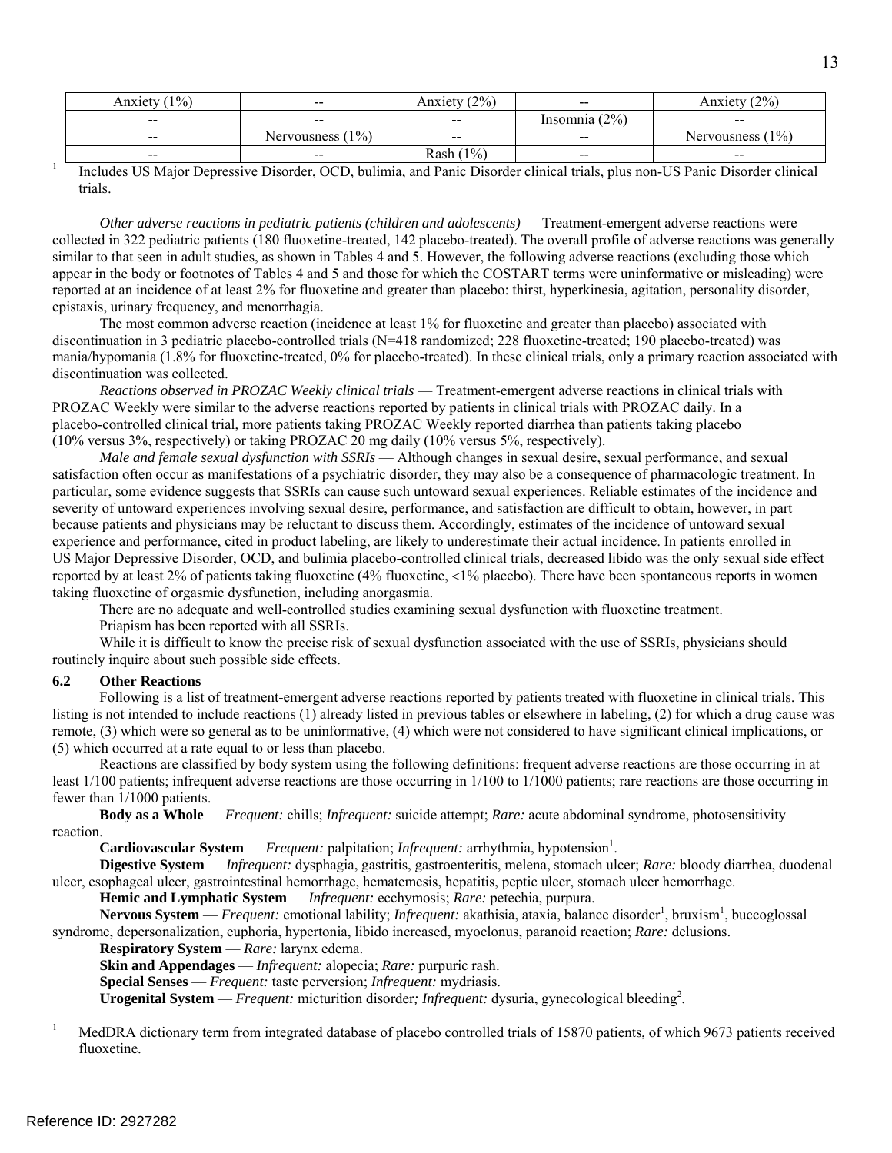| $1\%$<br>$\triangle$ nxiety | $\sim$              | $'2\%$<br>Anxiety<br>∸                         | $\overline{\phantom{m}}$ | (2%)<br>$\rightarrow$ nxiety |
|-----------------------------|---------------------|------------------------------------------------|--------------------------|------------------------------|
| $- -$                       | $- -$               | $- -$                                          | (20/<br>Insomnia         | $- -$                        |
| $\sim$                      | (1%)<br>Nervousness | $\hspace{0.1mm}-\hspace{0.1mm}-\hspace{0.1mm}$ | $- -$                    | $1\%$<br>Nervousness (       |
| $- -$                       | $- -$               | 1%<br>Rash                                     | $- -$                    | $- -$                        |

Includes US Major Depressive Disorder, OCD, bulimia, and Panic Disorder clinical trials, plus non-US Panic Disorder clinical trials.

*Other adverse reactions in pediatric patients (children and adolescents)* — Treatment-emergent adverse reactions were collected in 322 pediatric patients (180 fluoxetine-treated, 142 placebo-treated). The overall profile of adverse reactions was generally similar to that seen in adult studies, as shown in Tables 4 and 5. However, the following adverse reactions (excluding those which appear in the body or footnotes of Tables 4 and 5 and those for which the COSTART terms were uninformative or misleading) were reported at an incidence of at least 2% for fluoxetine and greater than placebo: thirst, hyperkinesia, agitation, personality disorder, epistaxis, urinary frequency, and menorrhagia.

The most common adverse reaction (incidence at least 1% for fluoxetine and greater than placebo) associated with discontinuation in 3 pediatric placebo-controlled trials (N=418 randomized; 228 fluoxetine-treated; 190 placebo-treated) was mania/hypomania (1.8% for fluoxetine-treated, 0% for placebo-treated). In these clinical trials, only a primary reaction associated with discontinuation was collected.

*Reactions observed in PROZAC Weekly clinical trials* — Treatment-emergent adverse reactions in clinical trials with PROZAC Weekly were similar to the adverse reactions reported by patients in clinical trials with PROZAC daily. In a placebo-controlled clinical trial, more patients taking PROZAC Weekly reported diarrhea than patients taking placebo (10% versus 3%, respectively) or taking PROZAC 20 mg daily (10% versus 5%, respectively).

*Male and female sexual dysfunction with SSRIs* — Although changes in sexual desire, sexual performance, and sexual satisfaction often occur as manifestations of a psychiatric disorder, they may also be a consequence of pharmacologic treatment. In particular, some evidence suggests that SSRIs can cause such untoward sexual experiences. Reliable estimates of the incidence and severity of untoward experiences involving sexual desire, performance, and satisfaction are difficult to obtain, however, in part because patients and physicians may be reluctant to discuss them. Accordingly, estimates of the incidence of untoward sexual experience and performance, cited in product labeling, are likely to underestimate their actual incidence. In patients enrolled in US Major Depressive Disorder, OCD, and bulimia placebo-controlled clinical trials, decreased libido was the only sexual side effect reported by at least 2% of patients taking fluoxetine (4% fluoxetine, <1% placebo). There have been spontaneous reports in women taking fluoxetine of orgasmic dysfunction, including anorgasmia.

There are no adequate and well-controlled studies examining sexual dysfunction with fluoxetine treatment.

Priapism has been reported with all SSRIs.

While it is difficult to know the precise risk of sexual dysfunction associated with the use of SSRIs, physicians should routinely inquire about such possible side effects.

#### **6.2 Other Reactions**

Following is a list of treatment-emergent adverse reactions reported by patients treated with fluoxetine in clinical trials. This listing is not intended to include reactions (1) already listed in previous tables or elsewhere in labeling, (2) for which a drug cause was remote, (3) which were so general as to be uninformative, (4) which were not considered to have significant clinical implications, or (5) which occurred at a rate equal to or less than placebo.

Reactions are classified by body system using the following definitions: frequent adverse reactions are those occurring in at least 1/100 patients; infrequent adverse reactions are those occurring in 1/100 to 1/1000 patients; rare reactions are those occurring in fewer than 1/1000 patients.

**Body as a Whole** — *Frequent:* chills; *Infrequent:* suicide attempt; *Rare:* acute abdominal syndrome, photosensitivity reaction.

**Cardiovascular System** — *Frequent:* palpitation; *Infrequent:* arrhythmia, hypotension<sup>1</sup>.

**Digestive System** — *Infrequent:* dysphagia, gastritis, gastroenteritis, melena, stomach ulcer; *Rare:* bloody diarrhea, duodenal ulcer, esophageal ulcer, gastrointestinal hemorrhage, hematemesis, hepatitis, peptic ulcer, stomach ulcer hemorrhage.

**Hemic and Lymphatic System** — *Infrequent:* ecchymosis; *Rare:* petechia, purpura.

Nervous System — *Frequent:* emotional lability; *Infrequent:* akathisia, ataxia, balance disorder<sup>1</sup>, bruxism<sup>1</sup>, buccoglossal syndrome, depersonalization, euphoria, hypertonia, libido increased, myoclonus, paranoid reaction; *Rare:* delusions.

**Respiratory System** — *Rare:* larynx edema.

**Skin and Appendages** — *Infrequent:* alopecia; *Rare:* purpuric rash.

**Special Senses** — *Frequent:* taste perversion; *Infrequent:* mydriasis.

Urogenital System — *Frequent:* micturition disorder; *Infrequent:* dysuria, gynecological bleeding<sup>2</sup>.

<sup>1</sup> MedDRA dictionary term from integrated database of placebo controlled trials of 15870 patients, of which 9673 patients received fluoxetine.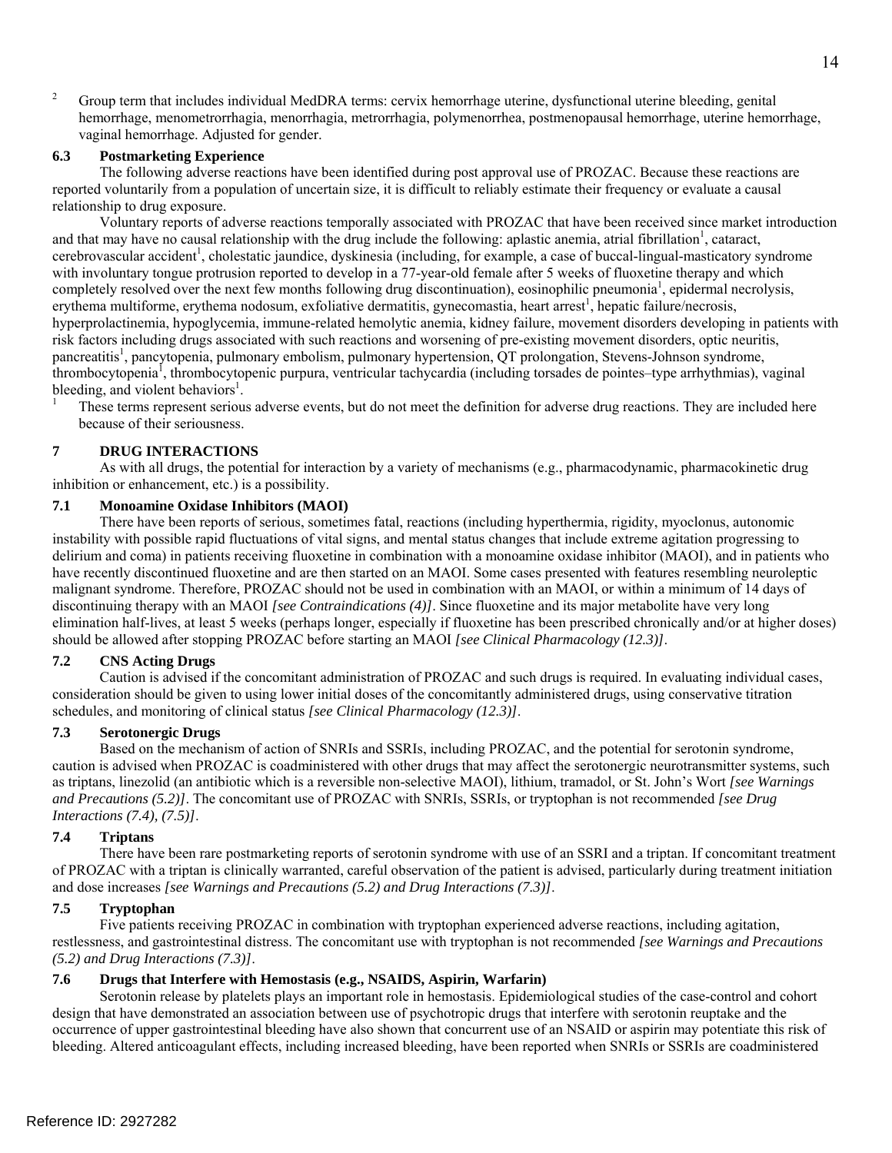<sup>2</sup> Group term that includes individual MedDRA terms: cervix hemorrhage uterine, dysfunctional uterine bleeding, genital hemorrhage, menometrorrhagia, menorrhagia, metrorrhagia, polymenorrhea, postmenopausal hemorrhage, uterine hemorrhage, vaginal hemorrhage. Adjusted for gender.

#### **6.3 Postmarketing Experience**

The following adverse reactions have been identified during post approval use of PROZAC. Because these reactions are reported voluntarily from a population of uncertain size, it is difficult to reliably estimate their frequency or evaluate a causal relationship to drug exposure.

Voluntary reports of adverse reactions temporally associated with PROZAC that have been received since market introduction and that may have no causal relationship with the drug include the following: aplastic anemia, atrial fibrillation<sup>1</sup>, cataract, cerebrovascular accident<sup>1</sup>, cholestatic jaundice, dyskinesia (including, for example, a case of buccal-lingual-masticatory syndrome with involuntary tongue protrusion reported to develop in a 77-year-old female after 5 weeks of fluoxetine therapy and which completely resolved over the next few months following drug discontinuation), eosinophilic pneumonia<sup>1</sup>, epidermal necrolysis, erythema multiforme, erythema nodosum, exfoliative dermatitis, gynecomastia, heart arrest<sup>1</sup>, hepatic failure/necrosis, hyperprolactinemia, hypoglycemia, immune-related hemolytic anemia, kidney failure, movement disorders developing in patients with risk factors including drugs associated with such reactions and worsening of pre-existing movement disorders, optic neuritis, pancreatitis<sup>1</sup>, pancytopenia, pulmonary embolism, pulmonary hypertension, QT prolongation, Stevens-Johnson syndrome, thrombocytopenia<sup>1</sup>, thrombocytopenic purpura, ventricular tachycardia (including torsades de pointes–type arrhythmias), vaginal bleeding, and violent behaviors<sup>1</sup>.

These terms represent serious adverse events, but do not meet the definition for adverse drug reactions. They are included here because of their seriousness.

#### **7 DRUG INTERACTIONS**

As with all drugs, the potential for interaction by a variety of mechanisms (e.g., pharmacodynamic, pharmacokinetic drug inhibition or enhancement, etc.) is a possibility.

#### **7.1 Monoamine Oxidase Inhibitors (MAOI)**

There have been reports of serious, sometimes fatal, reactions (including hyperthermia, rigidity, myoclonus, autonomic instability with possible rapid fluctuations of vital signs, and mental status changes that include extreme agitation progressing to delirium and coma) in patients receiving fluoxetine in combination with a monoamine oxidase inhibitor (MAOI), and in patients who have recently discontinued fluoxetine and are then started on an MAOI. Some cases presented with features resembling neuroleptic malignant syndrome. Therefore, PROZAC should not be used in combination with an MAOI, or within a minimum of 14 days of discontinuing therapy with an MAOI *[see Contraindications (4)]*. Since fluoxetine and its major metabolite have very long elimination half-lives, at least 5 weeks (perhaps longer, especially if fluoxetine has been prescribed chronically and/or at higher doses) should be allowed after stopping PROZAC before starting an MAOI *[see Clinical Pharmacology (12.3)]*.

#### **7.2 CNS Acting Drugs**

Caution is advised if the concomitant administration of PROZAC and such drugs is required. In evaluating individual cases, consideration should be given to using lower initial doses of the concomitantly administered drugs, using conservative titration schedules, and monitoring of clinical status *[see Clinical Pharmacology (12.3)]*.

#### **7.3 Serotonergic Drugs**

Based on the mechanism of action of SNRIs and SSRIs, including PROZAC, and the potential for serotonin syndrome, caution is advised when PROZAC is coadministered with other drugs that may affect the serotonergic neurotransmitter systems, such as triptans, linezolid (an antibiotic which is a reversible non-selective MAOI), lithium, tramadol, or St. John's Wort *[see Warnings and Precautions (5.2)]*. The concomitant use of PROZAC with SNRIs, SSRIs, or tryptophan is not recommended *[see Drug Interactions (7.4), (7.5)]*.

#### **7.4 Triptans**

There have been rare postmarketing reports of serotonin syndrome with use of an SSRI and a triptan. If concomitant treatment of PROZAC with a triptan is clinically warranted, careful observation of the patient is advised, particularly during treatment initiation and dose increases *[see Warnings and Precautions (5.2) and Drug Interactions (7.3)]*.

### **7.5 Tryptophan**

Five patients receiving PROZAC in combination with tryptophan experienced adverse reactions, including agitation, restlessness, and gastrointestinal distress. The concomitant use with tryptophan is not recommended *[see Warnings and Precautions (5.2) and Drug Interactions (7.3)]*.

#### **7.6 Drugs that Interfere with Hemostasis (e.g., NSAIDS, Aspirin, Warfarin)**

Serotonin release by platelets plays an important role in hemostasis. Epidemiological studies of the case-control and cohort design that have demonstrated an association between use of psychotropic drugs that interfere with serotonin reuptake and the occurrence of upper gastrointestinal bleeding have also shown that concurrent use of an NSAID or aspirin may potentiate this risk of bleeding. Altered anticoagulant effects, including increased bleeding, have been reported when SNRIs or SSRIs are coadministered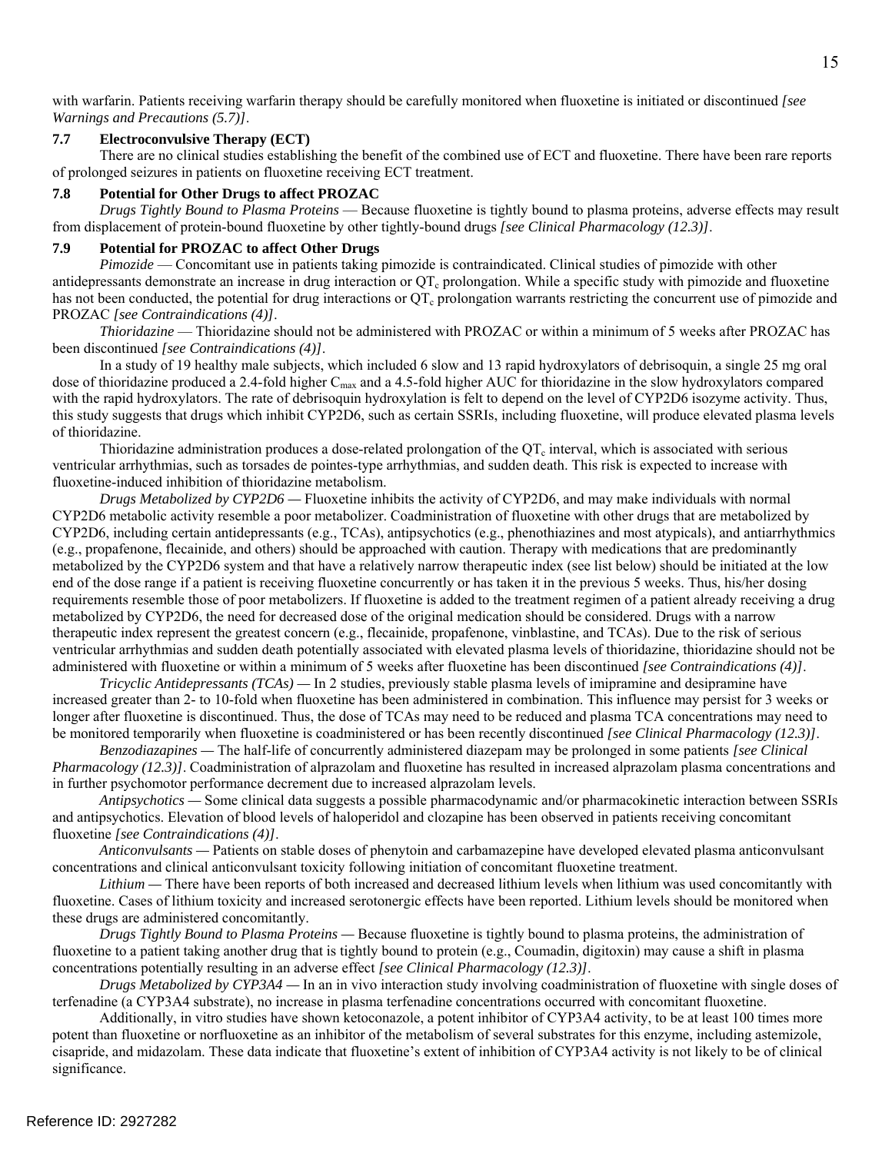with warfarin. Patients receiving warfarin therapy should be carefully monitored when fluoxetine is initiated or discontinued *[see Warnings and Precautions (5.7)]*.

#### **7.7 Electroconvulsive Therapy (ECT)**

There are no clinical studies establishing the benefit of the combined use of ECT and fluoxetine. There have been rare reports of prolonged seizures in patients on fluoxetine receiving ECT treatment.

#### **7.8 Potential for Other Drugs to affect PROZAC**

*Drugs Tightly Bound to Plasma Proteins* — Because fluoxetine is tightly bound to plasma proteins, adverse effects may result from displacement of protein-bound fluoxetine by other tightly-bound drugs *[see Clinical Pharmacology (12.3)]*.

#### **7.9 Potential for PROZAC to affect Other Drugs**

*Pimozide* — Concomitant use in patients taking pimozide is contraindicated. Clinical studies of pimozide with other antidepressants demonstrate an increase in drug interaction or  $\mathrm{QT}_c$  prolongation. While a specific study with pimozide and fluoxetine has not been conducted, the potential for drug interactions or  $QT<sub>c</sub>$  prolongation warrants restricting the concurrent use of pimozide and PROZAC *[see Contraindications (4)]*.

*Thioridazine* — Thioridazine should not be administered with PROZAC or within a minimum of 5 weeks after PROZAC has been discontinued *[see Contraindications (4)]*.

 In a study of 19 healthy male subjects, which included 6 slow and 13 rapid hydroxylators of debrisoquin, a single 25 mg oral dose of thioridazine produced a 2.4-fold higher C<sub>max</sub> and a 4.5-fold higher AUC for thioridazine in the slow hydroxylators compared with the rapid hydroxylators. The rate of debrisoquin hydroxylation is felt to depend on the level of CYP2D6 isozyme activity. Thus, this study suggests that drugs which inhibit CYP2D6, such as certain SSRIs, including fluoxetine, will produce elevated plasma levels of thioridazine.

 fluoxetine-induced inhibition of thioridazine metabolism. Thioridazine administration produces a dose-related prolongation of the  $\overline{QT_c}$  interval, which is associated with serious ventricular arrhythmias, such as torsades de pointes-type arrhythmias, and sudden death. This risk is expected to increase with

*Drugs Metabolized by CYP2D6 —* Fluoxetine inhibits the activity of CYP2D6, and may make individuals with normal CYP2D6 metabolic activity resemble a poor metabolizer. Coadministration of fluoxetine with other drugs that are metabolized by CYP2D6, including certain antidepressants (e.g., TCAs), antipsychotics (e.g., phenothiazines and most atypicals), and antiarrhythmics (e.g., propafenone, flecainide, and others) should be approached with caution. Therapy with medications that are predominantly metabolized by the CYP2D6 system and that have a relatively narrow therapeutic index (see list below) should be initiated at the low end of the dose range if a patient is receiving fluoxetine concurrently or has taken it in the previous 5 weeks. Thus, his/her dosing requirements resemble those of poor metabolizers. If fluoxetine is added to the treatment regimen of a patient already receiving a drug metabolized by CYP2D6, the need for decreased dose of the original medication should be considered. Drugs with a narrow therapeutic index represent the greatest concern (e.g., flecainide, propafenone, vinblastine, and TCAs). Due to the risk of serious ventricular arrhythmias and sudden death potentially associated with elevated plasma levels of thioridazine, thioridazine should not be administered with fluoxetine or within a minimum of 5 weeks after fluoxetine has been discontinued *[see Contraindications (4)]*.

*Tricyclic Antidepressants (TCAs) —* In 2 studies, previously stable plasma levels of imipramine and desipramine have increased greater than 2- to 10-fold when fluoxetine has been administered in combination. This influence may persist for 3 weeks or longer after fluoxetine is discontinued. Thus, the dose of TCAs may need to be reduced and plasma TCA concentrations may need to be monitored temporarily when fluoxetine is coadministered or has been recently discontinued *[see Clinical Pharmacology (12.3)]*.

 in further psychomotor performance decrement due to increased alprazolam levels. *Benzodiazapines —* The half-life of concurrently administered diazepam may be prolonged in some patients *[see Clinical Pharmacology (12.3)]*. Coadministration of alprazolam and fluoxetine has resulted in increased alprazolam plasma concentrations and

*Antipsychotics —* Some clinical data suggests a possible pharmacodynamic and/or pharmacokinetic interaction between SSRIs and antipsychotics. Elevation of blood levels of haloperidol and clozapine has been observed in patients receiving concomitant fluoxetine *[see Contraindications (4)]*.

*Anticonvulsants —* Patients on stable doses of phenytoin and carbamazepine have developed elevated plasma anticonvulsant concentrations and clinical anticonvulsant toxicity following initiation of concomitant fluoxetine treatment.

*Lithium* — There have been reports of both increased and decreased lithium levels when lithium was used concomitantly with fluoxetine. Cases of lithium toxicity and increased serotonergic effects have been reported. Lithium levels should be monitored when these drugs are administered concomitantly.

*Drugs Tightly Bound to Plasma Proteins —* Because fluoxetine is tightly bound to plasma proteins, the administration of fluoxetine to a patient taking another drug that is tightly bound to protein (e.g., Coumadin, digitoxin) may cause a shift in plasma concentrations potentially resulting in an adverse effect *[see Clinical Pharmacology (12.3)]*.

terfenadine (a CYP3A4 substrate), no increase in plasma terfenadine concentrations occurred with concomitant fluoxetine. terfenadine (a CYP3A4 substrate), no increase in plasma terfenadine concentrations occurred with concomitant fluoxetine.<br>Additionally, in vitro studies have shown ketoconazole, a potent inhibitor of CYP3A4 activity, to be *Drugs Metabolized by CYP3A4 —* In an in vivo interaction study involving coadministration of fluoxetine with single doses of

potent than fluoxetine or norfluoxetine as an inhibitor of the metabolism of several substrates for this enzyme, including astemizole, cisapride, and midazolam. These data indicate that fluoxetine's extent of inhibition of CYP3A4 activity is not likely to be of clinical significance.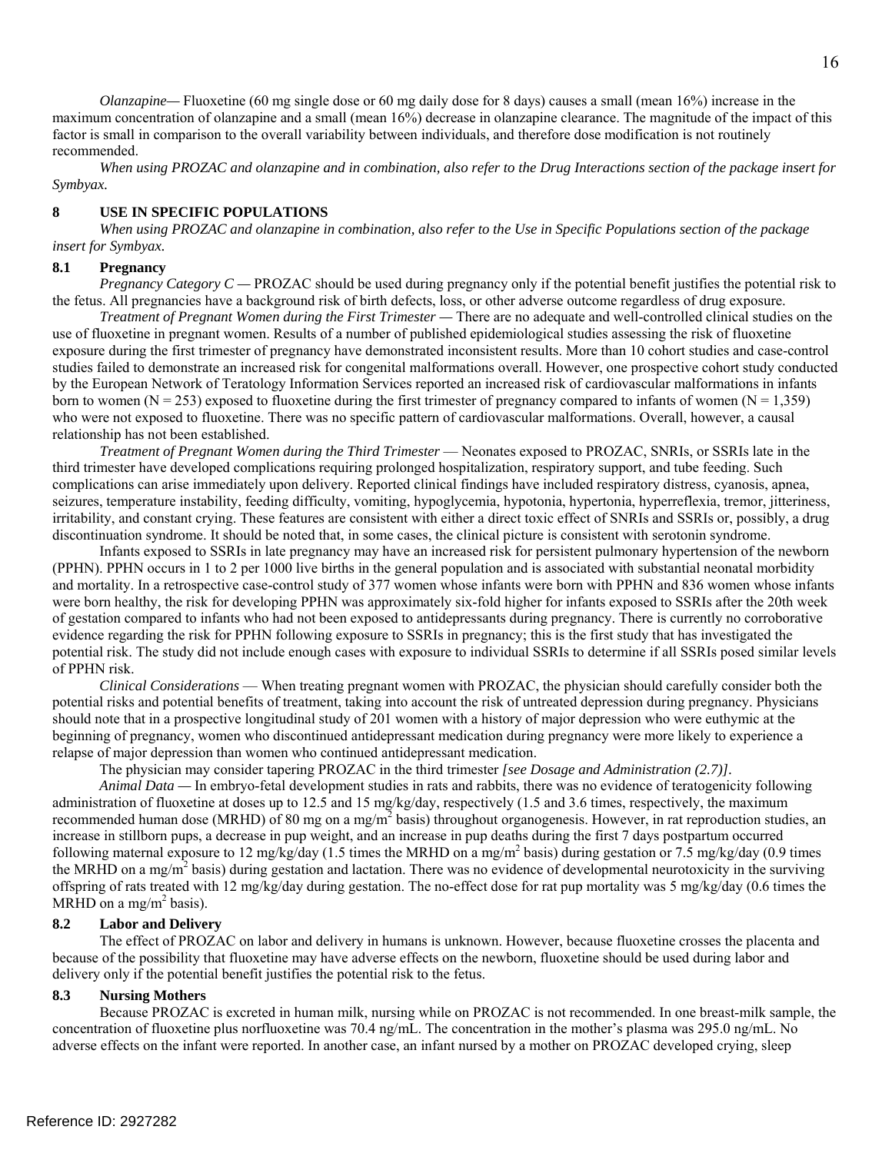*Olanzapine—* Fluoxetine (60 mg single dose or 60 mg daily dose for 8 days) causes a small (mean 16%) increase in the recommended. maximum concentration of olanzapine and a small (mean 16%) decrease in olanzapine clearance. The magnitude of the impact of this factor is small in comparison to the overall variability between individuals, and therefore dose modification is not routinely

*When using PROZAC and olanzapine and in combination, also refer to the Drug Interactions section of the package insert for Symbyax.* 

#### **8 USE IN SPECIFIC POPULATIONS**

*When using PROZAC and olanzapine in combination, also refer to the Use in Specific Populations section of the package insert for Symbyax.* 

#### **8.1 Pregnancy**

*Pregnancy Category C* — PROZAC should be used during pregnancy only if the potential benefit justifies the potential risk to the fetus. All pregnancies have a background risk of birth defects, loss, or other adverse outcome regardless of drug exposure.

*Treatment of Pregnant Women during the First Trimester —* There are no adequate and well-controlled clinical studies on the use of fluoxetine in pregnant women. Results of a number of published epidemiological studies assessing the risk of fluoxetine exposure during the first trimester of pregnancy have demonstrated inconsistent results. More than 10 cohort studies and case-control studies failed to demonstrate an increased risk for congenital malformations overall. However, one prospective cohort study conducted by the European Network of Teratology Information Services reported an increased risk of cardiovascular malformations in infants born to women ( $N = 253$ ) exposed to fluoxetine during the first trimester of pregnancy compared to infants of women ( $N = 1,359$ ) who were not exposed to fluoxetine. There was no specific pattern of cardiovascular malformations. Overall, however, a causal relationship has not been established.

 discontinuation syndrome. It should be noted that, in some cases, the clinical picture is consistent with serotonin syndrome. *Treatment of Pregnant Women during the Third Trimester* — Neonates exposed to PROZAC, SNRIs, or SSRIs late in the third trimester have developed complications requiring prolonged hospitalization, respiratory support, and tube feeding. Such complications can arise immediately upon delivery. Reported clinical findings have included respiratory distress, cyanosis, apnea, seizures, temperature instability, feeding difficulty, vomiting, hypoglycemia, hypotonia, hypertonia, hyperreflexia, tremor, jitteriness, irritability, and constant crying. These features are consistent with either a direct toxic effect of SNRIs and SSRIs or, possibly, a drug

Infants exposed to SSRIs in late pregnancy may have an increased risk for persistent pulmonary hypertension of the newborn (PPHN). PPHN occurs in 1 to 2 per 1000 live births in the general population and is associated with substantial neonatal morbidity and mortality. In a retrospective case-control study of 377 women whose infants were born with PPHN and 836 women whose infants were born healthy, the risk for developing PPHN was approximately six-fold higher for infants exposed to SSRIs after the 20th week of gestation compared to infants who had not been exposed to antidepressants during pregnancy. There is currently no corroborative evidence regarding the risk for PPHN following exposure to SSRIs in pregnancy; this is the first study that has investigated the potential risk. The study did not include enough cases with exposure to individual SSRIs to determine if all SSRIs posed similar levels of PPHN risk.

 beginning of pregnancy, women who discontinued antidepressant medication during pregnancy were more likely to experience a relapse of major depression than women who continued antidepressant medication. *Clinical Considerations* — When treating pregnant women with PROZAC, the physician should carefully consider both the potential risks and potential benefits of treatment, taking into account the risk of untreated depression during pregnancy. Physicians should note that in a prospective longitudinal study of 201 women with a history of major depression who were euthymic at the

The physician may consider tapering PROZAC in the third trimester *[see Dosage and Administration (2.7)].* 

*Animal Data —* In embryo-fetal development studies in rats and rabbits, there was no evidence of teratogenicity following administration of fluoxetine at doses up to 12.5 and 15 mg/kg/day, respectively (1.5 and 3.6 times, respectively, the maximum recommended human dose (MRHD) of 80 mg on a mg/m<sup>2</sup> basis) throughout organogenesis. However, in rat reproduction studies, an increase in stillborn pups, a decrease in pup weight, and an increase in pup deaths during the first 7 days postpartum occurred following maternal exposure to 12 mg/kg/day (1.5 times the MRHD on a mg/m<sup>2</sup> basis) during gestation or 7.5 mg/kg/day (0.9 times the MRHD on a mg/m<sup>2</sup> basis) during gestation and lactation. There was no evidence of developmental neurotoxicity in the surviving offspring of rats treated with 12 mg/kg/day during gestation. The no-effect dose for rat pup mortality was 5 mg/kg/day (0.6 times the MRHD on a mg/m<sup>2</sup> basis).

#### **8.2 Labor and Delivery**

The effect of PROZAC on labor and delivery in humans is unknown. However, because fluoxetine crosses the placenta and because of the possibility that fluoxetine may have adverse effects on the newborn, fluoxetine should be used during labor and delivery only if the potential benefit justifies the potential risk to the fetus.

#### **8.3 Nursing Mothers**

 adverse effects on the infant were reported. In another case, an infant nursed by a mother on PROZAC developed crying, sleep Because PROZAC is excreted in human milk, nursing while on PROZAC is not recommended. In one breast-milk sample, the concentration of fluoxetine plus norfluoxetine was 70.4 ng/mL. The concentration in the mother's plasma was 295.0 ng/mL. No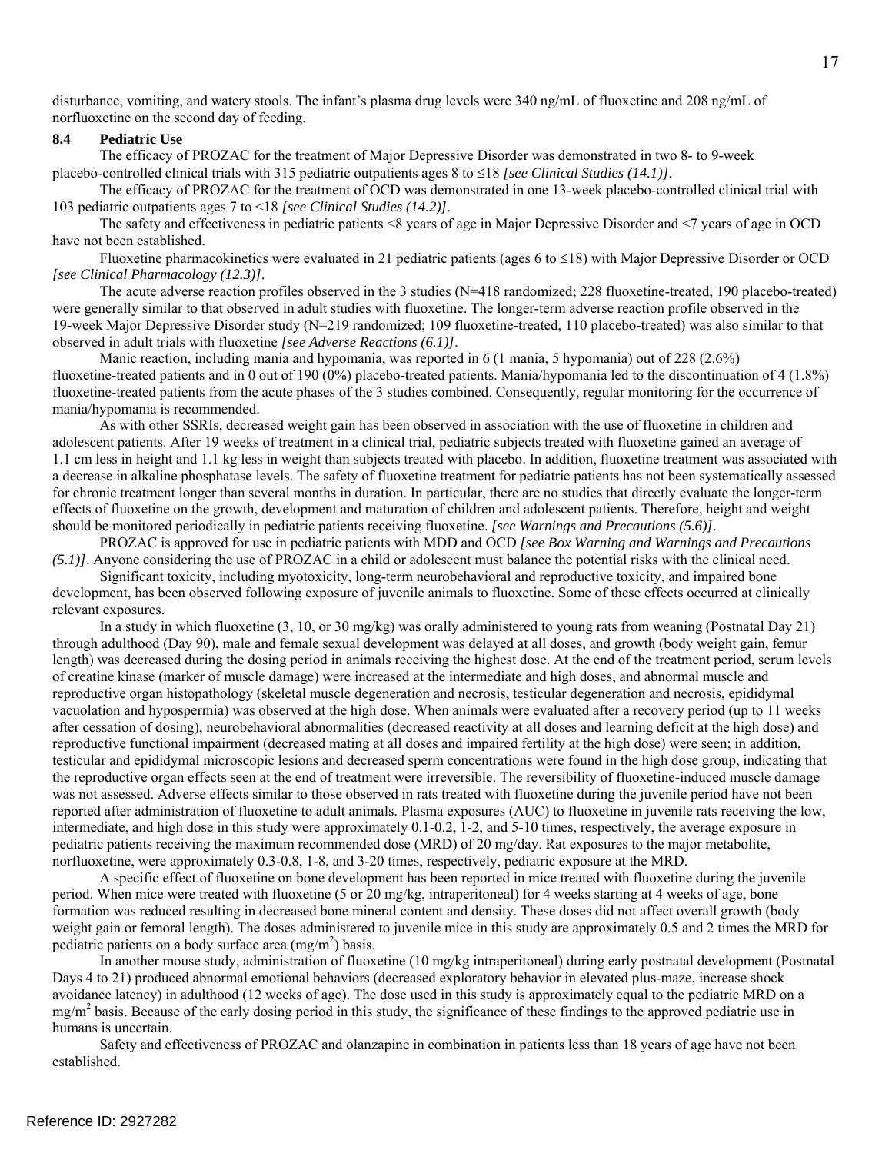disturbance, vomiting, and watery stools. The infant's plasma drug levels were 340 ng/mL of fluoxetine and 208 ng/mL of norfluoxetine on the second day of feeding.

### **8.4 Pediatric Use**

The efficacy of PROZAC for the treatment of Major Depressive Disorder was demonstrated in two 8- to 9-week placebo-controlled clinical trials with 315 pediatric outpatients ages 8 to ≤18 *[see Clinical Studies (14.1)]*.

The efficacy of PROZAC for the treatment of OCD was demonstrated in one 13-week placebo-controlled clinical trial with 103 pediatric outpatients ages 7 to <18 *[see Clinical Studies (14.2)]*.

The safety and effectiveness in pediatric patients <8 years of age in Major Depressive Disorder and <7 years of age in OCD have not been established.

Fluoxetine pharmacokinetics were evaluated in 21 pediatric patients (ages 6 to ≤18) with Major Depressive Disorder or OCD *[see Clinical Pharmacology (12.3)]*.

The acute adverse reaction profiles observed in the 3 studies (N=418 randomized; 228 fluoxetine-treated, 190 placebo-treated) were generally similar to that observed in adult studies with fluoxetine. The longer-term adverse reaction profile observed in the 19-week Major Depressive Disorder study (N=219 randomized; 109 fluoxetine-treated, 110 placebo-treated) was also similar to that observed in adult trials with fluoxetine *[see Adverse Reactions (6.1)]*.

 Manic reaction, including mania and hypomania, was reported in 6 (1 mania, 5 hypomania) out of 228 (2.6%) fluoxetine-treated patients and in 0 out of 190 (0%) placebo-treated patients. Mania/hypomania led to the discontinuation of 4 (1.8%) fluoxetine-treated patients from the acute phases of the 3 studies combined. Consequently, regular monitoring for the occurrence of mania/hypomania is recommended.

 1.1 cm less in height and 1.1 kg less in weight than subjects treated with placebo. In addition, fluoxetine treatment was associated with As with other SSRIs, decreased weight gain has been observed in association with the use of fluoxetine in children and adolescent patients. After 19 weeks of treatment in a clinical trial, pediatric subjects treated with fluoxetine gained an average of a decrease in alkaline phosphatase levels. The safety of fluoxetine treatment for pediatric patients has not been systematically assessed for chronic treatment longer than several months in duration. In particular, there are no studies that directly evaluate the longer-term effects of fluoxetine on the growth, development and maturation of children and adolescent patients. Therefore, height and weight should be monitored periodically in pediatric patients receiving fluoxetine. *[see Warnings and Precautions (5.6)]*.

PROZAC is approved for use in pediatric patients with MDD and OCD *[see Box Warning and Warnings and Precautions (5.1)]*. Anyone considering the use of PROZAC in a child or adolescent must balance the potential risks with the clinical need.

Significant toxicity, including myotoxicity, long-term neurobehavioral and reproductive toxicity, and impaired bone development, has been observed following exposure of juvenile animals to fluoxetine. Some of these effects occurred at clinically relevant exposures.

 norfluoxetine, were approximately 0.3-0.8, 1-8, and 3-20 times, respectively, pediatric exposure at the MRD. In a study in which fluoxetine (3, 10, or 30 mg/kg) was orally administered to young rats from weaning (Postnatal Day 21) through adulthood (Day 90), male and female sexual development was delayed at all doses, and growth (body weight gain, femur length) was decreased during the dosing period in animals receiving the highest dose. At the end of the treatment period, serum levels of creatine kinase (marker of muscle damage) were increased at the intermediate and high doses, and abnormal muscle and reproductive organ histopathology (skeletal muscle degeneration and necrosis, testicular degeneration and necrosis, epididymal vacuolation and hypospermia) was observed at the high dose. When animals were evaluated after a recovery period (up to 11 weeks after cessation of dosing), neurobehavioral abnormalities (decreased reactivity at all doses and learning deficit at the high dose) and reproductive functional impairment (decreased mating at all doses and impaired fertility at the high dose) were seen; in addition, testicular and epididymal microscopic lesions and decreased sperm concentrations were found in the high dose group, indicating that the reproductive organ effects seen at the end of treatment were irreversible. The reversibility of fluoxetine-induced muscle damage was not assessed. Adverse effects similar to those observed in rats treated with fluoxetine during the juvenile period have not been reported after administration of fluoxetine to adult animals. Plasma exposures (AUC) to fluoxetine in juvenile rats receiving the low, intermediate, and high dose in this study were approximately 0.1-0.2, 1-2, and 5-10 times, respectively, the average exposure in pediatric patients receiving the maximum recommended dose (MRD) of 20 mg/day. Rat exposures to the major metabolite,

 weight gain or femoral length). The doses administered to juvenile mice in this study are approximately 0.5 and 2 times the MRD for A specific effect of fluoxetine on bone development has been reported in mice treated with fluoxetine during the juvenile period. When mice were treated with fluoxetine (5 or 20 mg/kg, intraperitoneal) for 4 weeks starting at 4 weeks of age, bone formation was reduced resulting in decreased bone mineral content and density. These doses did not affect overall growth (body pediatric patients on a body surface area  $(mg/m<sup>2</sup>)$  basis.

 In another mouse study, administration of fluoxetine (10 mg/kg intraperitoneal) during early postnatal development (Postnatal Days 4 to 21) produced abnormal emotional behaviors (decreased exploratory behavior in elevated plus-maze, increase shock avoidance latency) in adulthood (12 weeks of age). The dose used in this study is approximately equal to the pediatric MRD on a mg/m<sup>2</sup> basis. Because of the early dosing period in this study, the significance of these findings to the approved pediatric use in humans is uncertain.

Safety and effectiveness of PROZAC and olanzapine in combination in patients less than 18 years of age have not been established.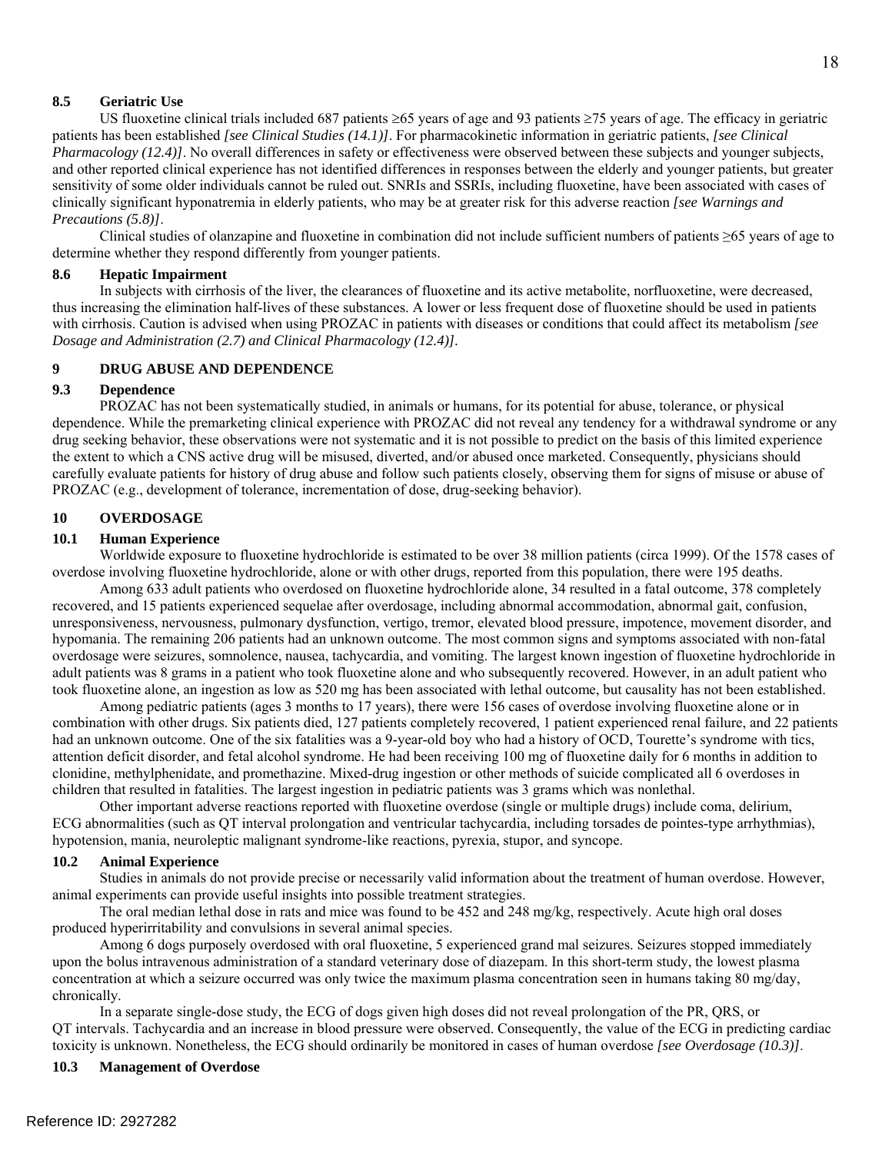#### **8.5 Geriatric Use**

 clinically significant hyponatremia in elderly patients, who may be at greater risk for this adverse reaction *[see Warnings and*  US fluoxetine clinical trials included 687 patients ≥65 years of age and 93 patients ≥75 years of age. The efficacy in geriatric patients has been established *[see Clinical Studies (14.1)]*. For pharmacokinetic information in geriatric patients, *[see Clinical Pharmacology (12.4)]*. No overall differences in safety or effectiveness were observed between these subjects and younger subjects, and other reported clinical experience has not identified differences in responses between the elderly and younger patients, but greater sensitivity of some older individuals cannot be ruled out. SNRIs and SSRIs, including fluoxetine, have been associated with cases of *Precautions (5.8)]*.

Clinical studies of olanzapine and fluoxetine in combination did not include sufficient numbers of patients ≥65 years of age to determine whether they respond differently from younger patients.

### **8.6 Hepatic Impairment**

 with cirrhosis. Caution is advised when using PROZAC in patients with diseases or conditions that could affect its metabolism *[see*  In subjects with cirrhosis of the liver, the clearances of fluoxetine and its active metabolite, norfluoxetine, were decreased, thus increasing the elimination half-lives of these substances. A lower or less frequent dose of fluoxetine should be used in patients *Dosage and Administration (2.7) and Clinical Pharmacology (12.4)].* 

#### **9 DRUG ABUSE AND DEPENDENCE**

#### **9.3 Dependence**

PROZAC has not been systematically studied, in animals or humans, for its potential for abuse, tolerance, or physical dependence. While the premarketing clinical experience with PROZAC did not reveal any tendency for a withdrawal syndrome or any drug seeking behavior, these observations were not systematic and it is not possible to predict on the basis of this limited experience the extent to which a CNS active drug will be misused, diverted, and/or abused once marketed. Consequently, physicians should carefully evaluate patients for history of drug abuse and follow such patients closely, observing them for signs of misuse or abuse of PROZAC (e.g., development of tolerance, incrementation of dose, drug-seeking behavior).

#### **10 OVERDOSAGE**

#### **10.1 Human Experience**

Worldwide exposure to fluoxetine hydrochloride is estimated to be over 38 million patients (circa 1999). Of the 1578 cases of overdose involving fluoxetine hydrochloride, alone or with other drugs, reported from this population, there were 195 deaths.

Among 633 adult patients who overdosed on fluoxetine hydrochloride alone, 34 resulted in a fatal outcome, 378 completely recovered, and 15 patients experienced sequelae after overdosage, including abnormal accommodation, abnormal gait, confusion, unresponsiveness, nervousness, pulmonary dysfunction, vertigo, tremor, elevated blood pressure, impotence, movement disorder, and hypomania. The remaining 206 patients had an unknown outcome. The most common signs and symptoms associated with non-fatal overdosage were seizures, somnolence, nausea, tachycardia, and vomiting. The largest known ingestion of fluoxetine hydrochloride in adult patients was 8 grams in a patient who took fluoxetine alone and who subsequently recovered. However, in an adult patient who took fluoxetine alone, an ingestion as low as 520 mg has been associated with lethal outcome, but causality has not been established.

 had an unknown outcome. One of the six fatalities was a 9-year-old boy who had a history of OCD, Tourette's syndrome with tics, Among pediatric patients (ages 3 months to 17 years), there were 156 cases of overdose involving fluoxetine alone or in combination with other drugs. Six patients died, 127 patients completely recovered, 1 patient experienced renal failure, and 22 patients attention deficit disorder, and fetal alcohol syndrome. He had been receiving 100 mg of fluoxetine daily for 6 months in addition to clonidine, methylphenidate, and promethazine. Mixed-drug ingestion or other methods of suicide complicated all 6 overdoses in children that resulted in fatalities. The largest ingestion in pediatric patients was 3 grams which was nonlethal.

Other important adverse reactions reported with fluoxetine overdose (single or multiple drugs) include coma, delirium, ECG abnormalities (such as QT interval prolongation and ventricular tachycardia, including torsades de pointes-type arrhythmias), hypotension, mania, neuroleptic malignant syndrome-like reactions, pyrexia, stupor, and syncope.

#### **10.2 Animal Experience**

Studies in animals do not provide precise or necessarily valid information about the treatment of human overdose. However, animal experiments can provide useful insights into possible treatment strategies.

The oral median lethal dose in rats and mice was found to be 452 and 248 mg/kg, respectively. Acute high oral doses produced hyperirritability and convulsions in several animal species.

 concentration at which a seizure occurred was only twice the maximum plasma concentration seen in humans taking 80 mg/day, Among 6 dogs purposely overdosed with oral fluoxetine, 5 experienced grand mal seizures. Seizures stopped immediately upon the bolus intravenous administration of a standard veterinary dose of diazepam. In this short-term study, the lowest plasma chronically.

In a separate single-dose study, the ECG of dogs given high doses did not reveal prolongation of the PR, QRS, or QT intervals. Tachycardia and an increase in blood pressure were observed. Consequently, the value of the ECG in predicting cardiac toxicity is unknown. Nonetheless, the ECG should ordinarily be monitored in cases of human overdose *[see Overdosage (10.3)]*.

#### **10.3 Management of Overdose**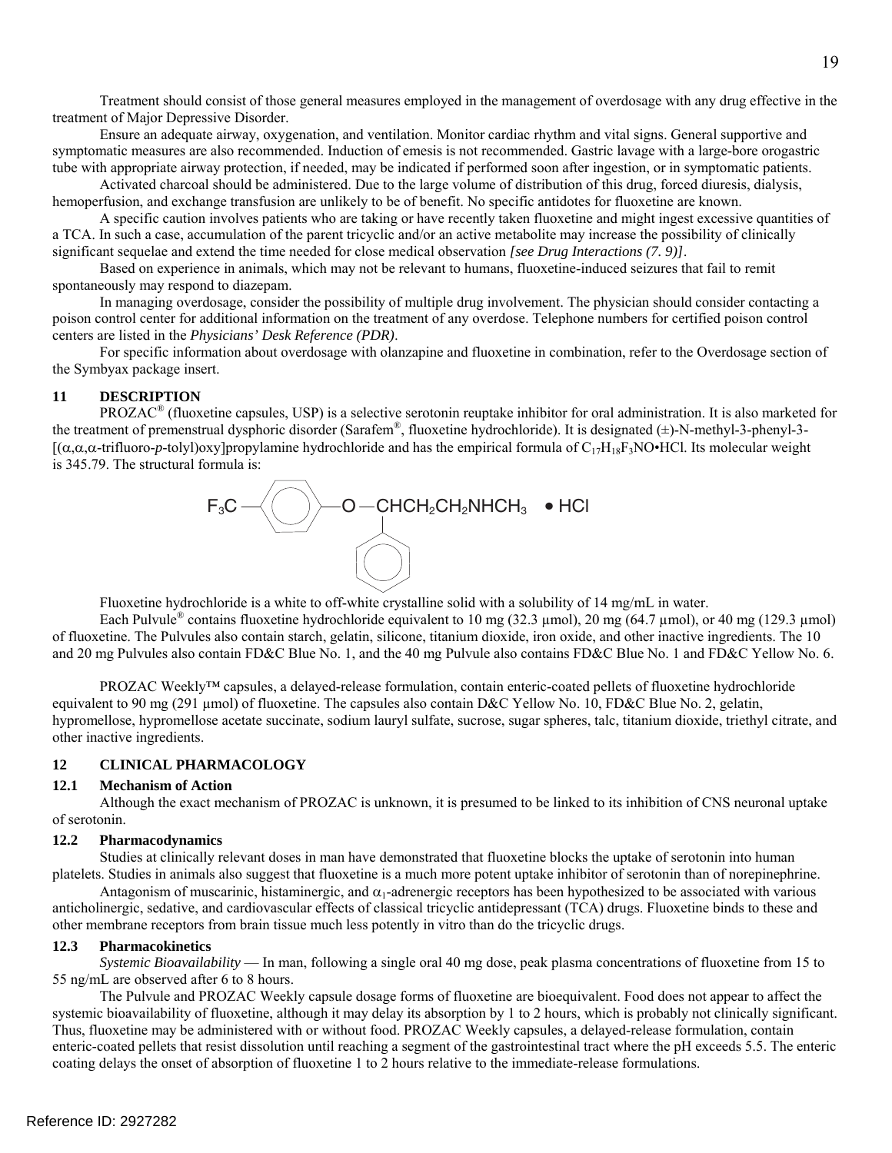Treatment should consist of those general measures employed in the management of overdosage with any drug effective in the treatment of Major Depressive Disorder.

Ensure an adequate airway, oxygenation, and ventilation. Monitor cardiac rhythm and vital signs. General supportive and symptomatic measures are also recommended. Induction of emesis is not recommended. Gastric lavage with a large-bore orogastric tube with appropriate airway protection, if needed, may be indicated if performed soon after ingestion, or in symptomatic patients.

Activated charcoal should be administered. Due to the large volume of distribution of this drug, forced diuresis, dialysis, hemoperfusion, and exchange transfusion are unlikely to be of benefit. No specific antidotes for fluoxetine are known.

A specific caution involves patients who are taking or have recently taken fluoxetine and might ingest excessive quantities of a TCA. In such a case, accumulation of the parent tricyclic and/or an active metabolite may increase the possibility of clinically significant sequelae and extend the time needed for close medical observation *[see Drug Interactions (7. 9)]*.

 Based on experience in animals, which may not be relevant to humans, fluoxetine-induced seizures that fail to remit spontaneously may respond to diazepam.

In managing overdosage, consider the possibility of multiple drug involvement. The physician should consider contacting a poison control center for additional information on the treatment of any overdose. Telephone numbers for certified poison control centers are listed in the *Physicians' Desk Reference (PDR)*.

For specific information about overdosage with olanzapine and fluoxetine in combination, refer to the Overdosage section of the Symbyax package insert.

#### **11 DESCRIPTION**

PROZAC® (fluoxetine capsules, USP) is a selective serotonin reuptake inhibitor for oral administration. It is also marketed for the treatment of premenstrual dysphoric disorder (Sarafem®, fluoxetine hydrochloride). It is designated (±)-N-methyl-3-phenyl-3  $[(\alpha, \alpha, \alpha\text{-trifluoro-}p\text{-}toly])\alpha y]$ propylamine hydrochloride and has the empirical formula of  $C_{17}H_{18}F_3NO\bullet HCl$ . Its molecular weight is 345.79. The structural formula is:



Fluoxetine hydrochloride is a white to off-white crystalline solid with a solubility of 14 mg/mL in water.

Each Pulvule<sup>®</sup> contains fluoxetine hydrochloride equivalent to 10 mg (32.3 µmol), 20 mg (64.7 µmol), or 40 mg (129.3 µmol) of fluoxetine. The Pulvules also contain starch, gelatin, silicone, titanium dioxide, iron oxide, and other inactive ingredients. The 10 and 20 mg Pulvules also contain FD&C Blue No. 1, and the 40 mg Pulvule also contains FD&C Blue No. 1 and FD&C Yellow No. 6.

PROZAC Weekly™ capsules, a delayed-release formulation, contain enteric-coated pellets of fluoxetine hydrochloride equivalent to 90 mg (291 μmol) of fluoxetine. The capsules also contain D&C Yellow No. 10, FD&C Blue No. 2, gelatin, hypromellose, hypromellose acetate succinate, sodium lauryl sulfate, sucrose, sugar spheres, talc, titanium dioxide, triethyl citrate, and other inactive ingredients.

#### **12 CLINICAL PHARMACOLOGY**

#### **12.1 Mechanism of Action**

Although the exact mechanism of PROZAC is unknown, it is presumed to be linked to its inhibition of CNS neuronal uptake of serotonin.

#### **12.2 Pharmacodynamics**

 Studies at clinically relevant doses in man have demonstrated that fluoxetine blocks the uptake of serotonin into human platelets. Studies in animals also suggest that fluoxetine is a much more potent uptake inhibitor of serotonin than of norepinephrine.

Antagonism of muscarinic, histaminergic, and  $\alpha_1$ -adrenergic receptors has been hypothesized to be associated with various anticholinergic, sedative, and cardiovascular effects of classical tricyclic antidepressant (TCA) drugs. Fluoxetine binds to these and other membrane receptors from brain tissue much less potently in vitro than do the tricyclic drugs.

#### **12.3 Pharmacokinetics**

*Systemic Bioavailability* — In man, following a single oral 40 mg dose, peak plasma concentrations of fluoxetine from 15 to 55 ng/mL are observed after 6 to 8 hours.

The Pulvule and PROZAC Weekly capsule dosage forms of fluoxetine are bioequivalent. Food does not appear to affect the systemic bioavailability of fluoxetine, although it may delay its absorption by 1 to 2 hours, which is probably not clinically significant. Thus, fluoxetine may be administered with or without food. PROZAC Weekly capsules, a delayed-release formulation, contain enteric-coated pellets that resist dissolution until reaching a segment of the gastrointestinal tract where the pH exceeds 5.5. The enteric coating delays the onset of absorption of fluoxetine 1 to 2 hours relative to the immediate-release formulations.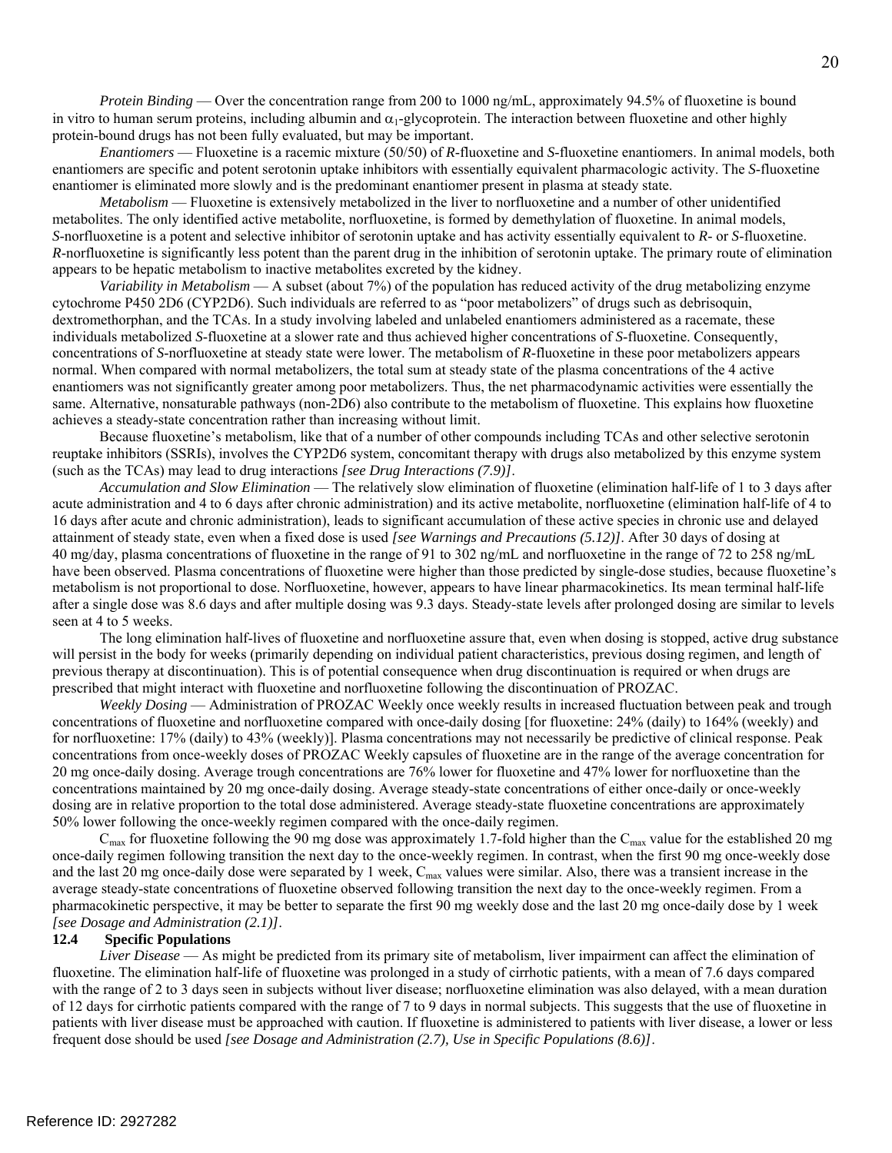*Protein Binding* — Over the concentration range from 200 to 1000 ng/mL, approximately 94.5% of fluoxetine is bound in vitro to human serum proteins, including albumin and  $\alpha_1$ -glycoprotein. The interaction between fluoxetine and other highly protein-bound drugs has not been fully evaluated, but may be important.

*Enantiomers* — Fluoxetine is a racemic mixture (50/50) of *R*-fluoxetine and *S*-fluoxetine enantiomers. In animal models, both enantiomers are specific and potent serotonin uptake inhibitors with essentially equivalent pharmacologic activity. The *S*-fluoxetine enantiomer is eliminated more slowly and is the predominant enantiomer present in plasma at steady state.

*Metabolism* — Fluoxetine is extensively metabolized in the liver to norfluoxetine and a number of other unidentified metabolites. The only identified active metabolite, norfluoxetine, is formed by demethylation of fluoxetine. In animal models, *S*-norfluoxetine is a potent and selective inhibitor of serotonin uptake and has activity essentially equivalent to *R*- or *S*-fluoxetine. *R*-norfluoxetine is significantly less potent than the parent drug in the inhibition of serotonin uptake. The primary route of elimination appears to be hepatic metabolism to inactive metabolites excreted by the kidney.

*Variability in Metabolism* — A subset (about 7%) of the population has reduced activity of the drug metabolizing enzyme cytochrome P450 2D6 (CYP2D6). Such individuals are referred to as "poor metabolizers" of drugs such as debrisoquin, dextromethorphan, and the TCAs. In a study involving labeled and unlabeled enantiomers administered as a racemate, these individuals metabolized *S*-fluoxetine at a slower rate and thus achieved higher concentrations of *S*-fluoxetine. Consequently, concentrations of *S*-norfluoxetine at steady state were lower. The metabolism of *R*-fluoxetine in these poor metabolizers appears normal. When compared with normal metabolizers, the total sum at steady state of the plasma concentrations of the 4 active enantiomers was not significantly greater among poor metabolizers. Thus, the net pharmacodynamic activities were essentially the same. Alternative, nonsaturable pathways (non-2D6) also contribute to the metabolism of fluoxetine. This explains how fluoxetine achieves a steady-state concentration rather than increasing without limit.

Because fluoxetine's metabolism, like that of a number of other compounds including TCAs and other selective serotonin reuptake inhibitors (SSRIs), involves the CYP2D6 system, concomitant therapy with drugs also metabolized by this enzyme system (such as the TCAs) may lead to drug interactions *[see Drug Interactions (7.9)]*.

*Accumulation and Slow Elimination* — The relatively slow elimination of fluoxetine (elimination half-life of 1 to 3 days after acute administration and 4 to 6 days after chronic administration) and its active metabolite, norfluoxetine (elimination half-life of 4 to 16 days after acute and chronic administration), leads to significant accumulation of these active species in chronic use and delayed attainment of steady state, even when a fixed dose is used *[see Warnings and Precautions (5.12)]*. After 30 days of dosing at 40 mg/day, plasma concentrations of fluoxetine in the range of 91 to 302 ng/mL and norfluoxetine in the range of 72 to 258 ng/mL have been observed. Plasma concentrations of fluoxetine were higher than those predicted by single-dose studies, because fluoxetine's metabolism is not proportional to dose. Norfluoxetine, however, appears to have linear pharmacokinetics. Its mean terminal half-life after a single dose was 8.6 days and after multiple dosing was 9.3 days. Steady-state levels after prolonged dosing are similar to levels seen at 4 to 5 weeks.

 prescribed that might interact with fluoxetine and norfluoxetine following the discontinuation of PROZAC. The long elimination half-lives of fluoxetine and norfluoxetine assure that, even when dosing is stopped, active drug substance will persist in the body for weeks (primarily depending on individual patient characteristics, previous dosing regimen, and length of previous therapy at discontinuation). This is of potential consequence when drug discontinuation is required or when drugs are

*Weekly Dosing* — Administration of PROZAC Weekly once weekly results in increased fluctuation between peak and trough concentrations of fluoxetine and norfluoxetine compared with once-daily dosing [for fluoxetine: 24% (daily) to 164% (weekly) and for norfluoxetine: 17% (daily) to 43% (weekly)]. Plasma concentrations may not necessarily be predictive of clinical response. Peak concentrations from once-weekly doses of PROZAC Weekly capsules of fluoxetine are in the range of the average concentration for 20 mg once-daily dosing. Average trough concentrations are 76% lower for fluoxetine and 47% lower for norfluoxetine than the concentrations maintained by 20 mg once-daily dosing. Average steady-state concentrations of either once-daily or once-weekly dosing are in relative proportion to the total dose administered. Average steady-state fluoxetine concentrations are approximately 50% lower following the once-weekly regimen compared with the once-daily regimen.

 $C_{\text{max}}$  for fluoxetine following the 90 mg dose was approximately 1.7-fold higher than the  $C_{\text{max}}$  value for the established 20 mg pharmacokinetic perspective, it may be better to separate the first 90 mg weekly dose and the last 20 mg once-daily dose by 1 week once-daily regimen following transition the next day to the once-weekly regimen. In contrast, when the first 90 mg once-weekly dose and the last 20 mg once-daily dose were separated by 1 week,  $C_{\text{max}}$  values were similar. Also, there was a transient increase in the average steady-state concentrations of fluoxetine observed following transition the next day to the once-weekly regimen. From a *[see Dosage and Administration (2.1)]*.

#### **12.4 Specific Populations**

 *Liver Disease* — As might be predicted from its primary site of metabolism, liver impairment can affect the elimination of fluoxetine. The elimination half-life of fluoxetine was prolonged in a study of cirrhotic patients, with a mean of 7.6 days compared with the range of 2 to 3 days seen in subjects without liver disease; norfluoxetine elimination was also delayed, with a mean duration of 12 days for cirrhotic patients compared with the range of 7 to 9 days in normal subjects. This suggests that the use of fluoxetine in patients with liver disease must be approached with caution. If fluoxetine is administered to patients with liver disease, a lower or less frequent dose should be used *[see Dosage and Administration (2.7), Use in Specific Populations (8.6)]*.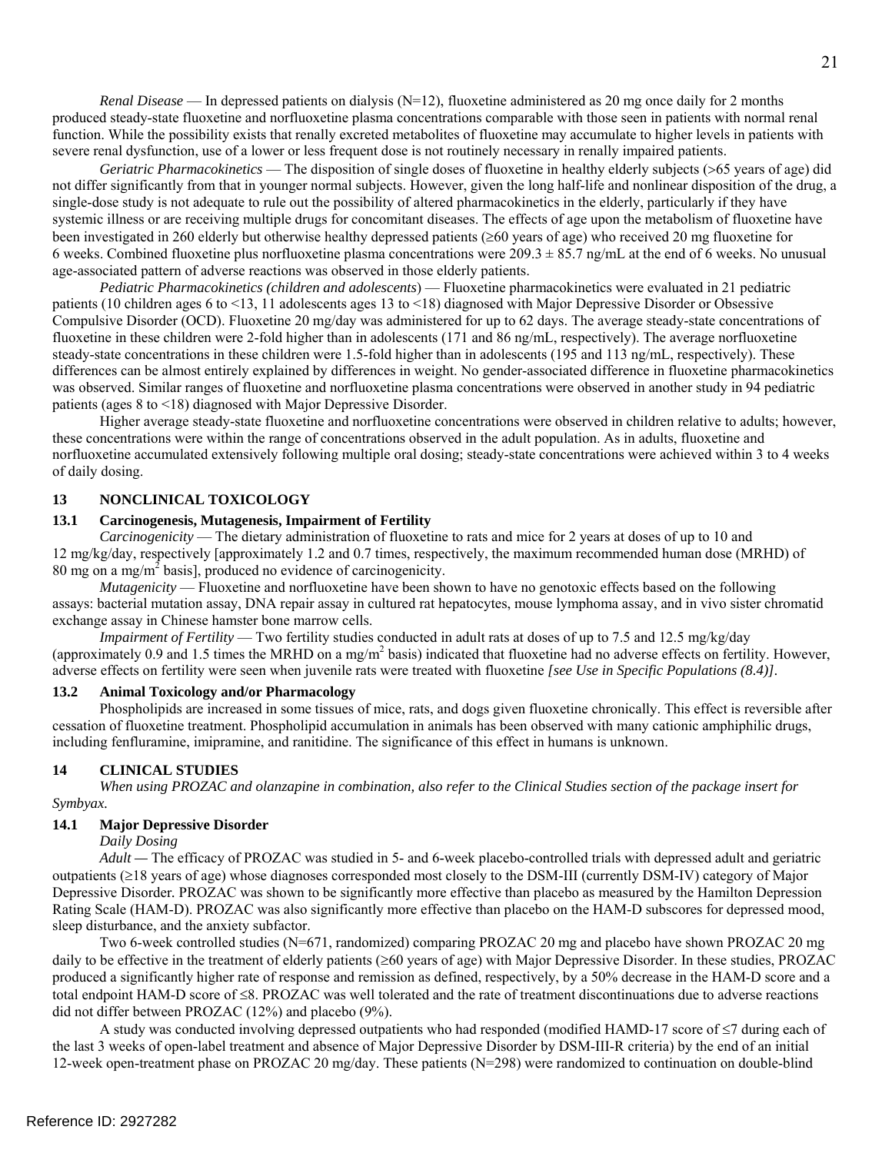*Renal Disease* — In depressed patients on dialysis (N=12), fluoxetine administered as 20 mg once daily for 2 months produced steady-state fluoxetine and norfluoxetine plasma concentrations comparable with those seen in patients with normal renal function. While the possibility exists that renally excreted metabolites of fluoxetine may accumulate to higher levels in patients with severe renal dysfunction, use of a lower or less frequent dose is not routinely necessary in renally impaired patients.

*Geriatric Pharmacokinetics* — The disposition of single doses of fluoxetine in healthy elderly subjects (>65 years of age) did not differ significantly from that in younger normal subjects. However, given the long half-life and nonlinear disposition of the drug, a single-dose study is not adequate to rule out the possibility of altered pharmacokinetics in the elderly, particularly if they have systemic illness or are receiving multiple drugs for concomitant diseases. The effects of age upon the metabolism of fluoxetine have been investigated in 260 elderly but otherwise healthy depressed patients (≥60 years of age) who received 20 mg fluoxetine for 6 weeks. Combined fluoxetine plus norfluoxetine plasma concentrations were  $209.3 \pm 85.7$  ng/mL at the end of 6 weeks. No unusual age-associated pattern of adverse reactions was observed in those elderly patients.

 differences can be almost entirely explained by differences in weight. No gender-associated difference in fluoxetine pharmacokinetics was observed. Similar ranges of fluoxetine and norfluoxetine plasma concentrations were observed in another study in 94 pediatric *Pediatric Pharmacokinetics (children and adolescents*) — Fluoxetine pharmacokinetics were evaluated in 21 pediatric patients (10 children ages 6 to <13, 11 adolescents ages 13 to <18) diagnosed with Major Depressive Disorder or Obsessive Compulsive Disorder (OCD). Fluoxetine 20 mg/day was administered for up to 62 days. The average steady-state concentrations of fluoxetine in these children were 2-fold higher than in adolescents (171 and 86 ng/mL, respectively). The average norfluoxetine steady-state concentrations in these children were 1.5-fold higher than in adolescents (195 and 113 ng/mL, respectively). These patients (ages 8 to <18) diagnosed with Major Depressive Disorder.

Higher average steady-state fluoxetine and norfluoxetine concentrations were observed in children relative to adults; however, these concentrations were within the range of concentrations observed in the adult population. As in adults, fluoxetine and norfluoxetine accumulated extensively following multiple oral dosing; steady-state concentrations were achieved within 3 to 4 weeks of daily dosing.

#### **13 NONCLINICAL TOXICOLOGY**

#### **13.1 Carcinogenesis, Mutagenesis, Impairment of Fertility**

*Carcinogenicity* — The dietary administration of fluoxetine to rats and mice for 2 years at doses of up to 10 and 12 mg/kg/day, respectively [approximately 1.2 and 0.7 times, respectively, the maximum recommended human dose (MRHD) of 80 mg on a mg/m<sup>2</sup> basis], produced no evidence of carcinogenicity.

*Mutagenicity* — Fluoxetine and norfluoxetine have been shown to have no genotoxic effects based on the following assays: bacterial mutation assay, DNA repair assay in cultured rat hepatocytes, mouse lymphoma assay, and in vivo sister chromatid exchange assay in Chinese hamster bone marrow cells.

 adverse effects on fertility were seen when juvenile rats were treated with fluoxetine *[see Use in Specific Populations (8.4)]. Impairment of Fertility* — Two fertility studies conducted in adult rats at doses of up to 7.5 and 12.5 mg/kg/day (approximately 0.9 and 1.5 times the MRHD on a mg/m<sup>2</sup> basis) indicated that fluoxetine had no adverse effects on fertility. However,

#### **13.2 Animal Toxicology and/or Pharmacology**

Phospholipids are increased in some tissues of mice, rats, and dogs given fluoxetine chronically. This effect is reversible after cessation of fluoxetine treatment. Phospholipid accumulation in animals has been observed with many cationic amphiphilic drugs, including fenfluramine, imipramine, and ranitidine. The significance of this effect in humans is unknown.

#### **14 CLINICAL STUDIES**

*When using PROZAC and olanzapine in combination, also refer to the Clinical Studies section of the package insert for Symbyax.* 

#### **14.1 Major Depressive Disorder**

#### *Daily Dosing*

*Adult —* The efficacy of PROZAC was studied in 5- and 6-week placebo-controlled trials with depressed adult and geriatric outpatients (≥18 years of age) whose diagnoses corresponded most closely to the DSM-III (currently DSM-IV) category of Major Depressive Disorder*.* PROZAC was shown to be significantly more effective than placebo as measured by the Hamilton Depression Rating Scale (HAM-D). PROZAC was also significantly more effective than placebo on the HAM-D subscores for depressed mood, sleep disturbance, and the anxiety subfactor.

Two 6-week controlled studies (N=671, randomized) comparing PROZAC 20 mg and placebo have shown PROZAC 20 mg daily to be effective in the treatment of elderly patients (≥60 years of age) with Major Depressive Disorder. In these studies, PROZAC produced a significantly higher rate of response and remission as defined, respectively, by a 50% decrease in the HAM-D score and a total endpoint HAM-D score of ≤8. PROZAC was well tolerated and the rate of treatment discontinuations due to adverse reactions did not differ between PROZAC (12%) and placebo (9%).

A study was conducted involving depressed outpatients who had responded (modified HAMD-17 score of ≤7 during each of the last 3 weeks of open-label treatment and absence of Major Depressive Disorder by DSM-III-R criteria) by the end of an initial 12-week open-treatment phase on PROZAC 20 mg/day. These patients (N=298) were randomized to continuation on double-blind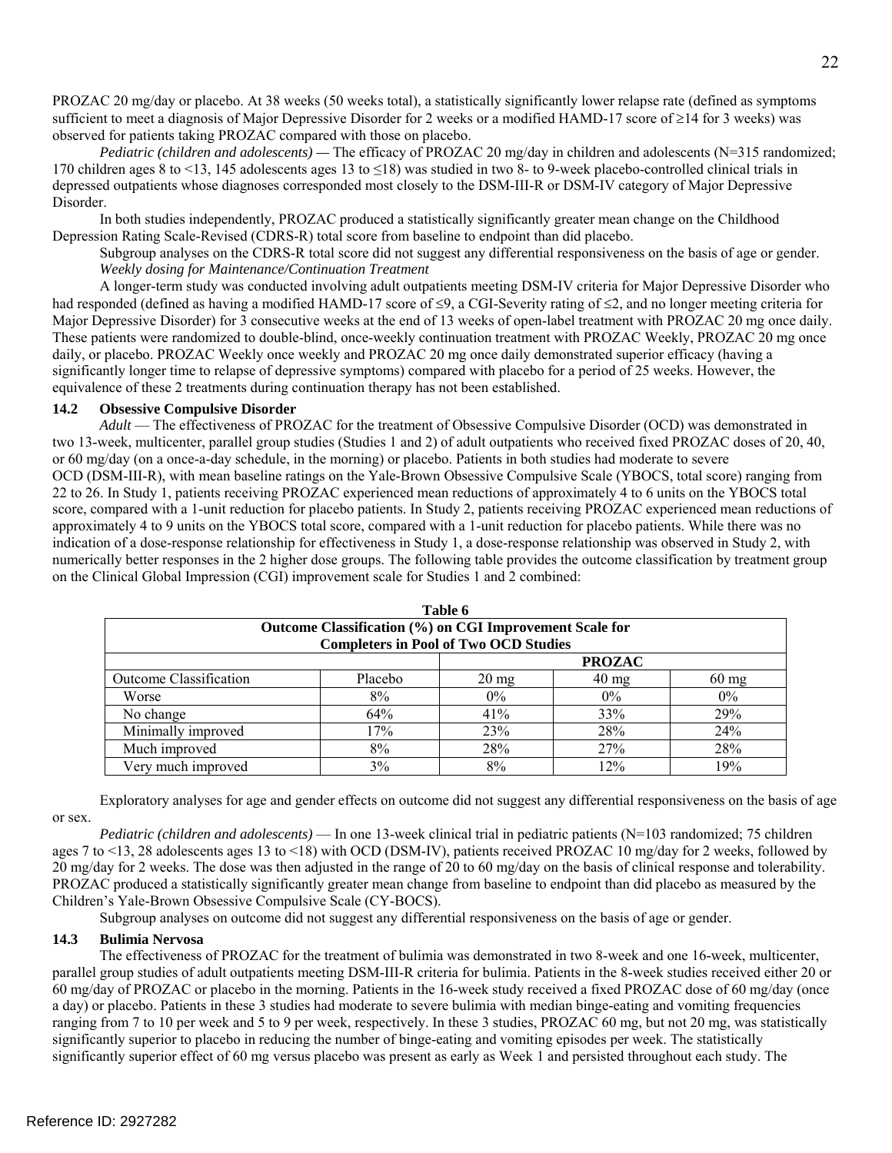PROZAC 20 mg/day or placebo. At 38 weeks (50 weeks total), a statistically significantly lower relapse rate (defined as symptoms sufficient to meet a diagnosis of Major Depressive Disorder for 2 weeks or a modified HAMD-17 score of ≥14 for 3 weeks) was observed for patients taking PROZAC compared with those on placebo.

*Pediatric (children and adolescents)* — The efficacy of PROZAC 20 mg/day in children and adolescents (N=315 randomized; 170 children ages 8 to <13, 145 adolescents ages 13 to  $\leq$ 18) was studied in two 8- to 9-week placebo-controlled clinical trials in depressed outpatients whose diagnoses corresponded most closely to the DSM-III-R or DSM-IV category of Major Depressive Disorder.

In both studies independently, PROZAC produced a statistically significantly greater mean change on the Childhood Depression Rating Scale-Revised (CDRS-R) total score from baseline to endpoint than did placebo.

Subgroup analyses on the CDRS-R total score did not suggest any differential responsiveness on the basis of age or gender. *Weekly dosing for Maintenance/Continuation Treatment* 

A longer-term study was conducted involving adult outpatients meeting DSM-IV criteria for Major Depressive Disorder who had responded (defined as having a modified HAMD-17 score of ≤9, a CGI-Severity rating of ≤2, and no longer meeting criteria for Major Depressive Disorder) for 3 consecutive weeks at the end of 13 weeks of open-label treatment with PROZAC 20 mg once daily. These patients were randomized to double-blind, once-weekly continuation treatment with PROZAC Weekly, PROZAC 20 mg once daily, or placebo. PROZAC Weekly once weekly and PROZAC 20 mg once daily demonstrated superior efficacy (having a significantly longer time to relapse of depressive symptoms) compared with placebo for a period of 25 weeks. However, the equivalence of these 2 treatments during continuation therapy has not been established.

#### **14.2 Obsessive Compulsive Disorder**

*Adult* — The effectiveness of PROZAC for the treatment of Obsessive Compulsive Disorder (OCD) was demonstrated in two 13-week, multicenter, parallel group studies (Studies 1 and 2) of adult outpatients who received fixed PROZAC doses of 20, 40, or 60 mg/day (on a once-a-day schedule, in the morning) or placebo. Patients in both studies had moderate to severe OCD (DSM-III-R), with mean baseline ratings on the Yale-Brown Obsessive Compulsive Scale (YBOCS, total score) ranging from 22 to 26. In Study 1, patients receiving PROZAC experienced mean reductions of approximately 4 to 6 units on the YBOCS total score, compared with a 1-unit reduction for placebo patients. In Study 2, patients receiving PROZAC experienced mean reductions of approximately 4 to 9 units on the YBOCS total score, compared with a 1-unit reduction for placebo patients. While there was no indication of a dose-response relationship for effectiveness in Study 1, a dose-response relationship was observed in Study 2, with numerically better responses in the 2 higher dose groups. The following table provides the outcome classification by treatment group on the Clinical Global Impression (CGI) improvement scale for Studies 1 and 2 combined:

| Table 6                                                 |         |                 |                 |                 |  |  |
|---------------------------------------------------------|---------|-----------------|-----------------|-----------------|--|--|
| Outcome Classification (%) on CGI Improvement Scale for |         |                 |                 |                 |  |  |
| <b>Completers in Pool of Two OCD Studies</b>            |         |                 |                 |                 |  |  |
| <b>PROZAC</b>                                           |         |                 |                 |                 |  |  |
| <b>Outcome Classification</b>                           | Placebo | $20 \text{ mg}$ | $40 \text{ mg}$ | $60 \text{ mg}$ |  |  |
| Worse                                                   | 8%      | $0\%$           | $0\%$           | $0\%$           |  |  |
| No change                                               | 64%     | 41%             | 33%             | 29%             |  |  |
| Minimally improved                                      | 17%     | 23%             | 28%             | 24%             |  |  |
| Much improved                                           | 8%      | 28%             | 27%             | 28%             |  |  |
| 3%<br>12%<br>19%<br>Very much improved<br>8%            |         |                 |                 |                 |  |  |

Exploratory analyses for age and gender effects on outcome did not suggest any differential responsiveness on the basis of age or sex.

*Pediatric (children and adolescents)* — In one 13-week clinical trial in pediatric patients (N=103 randomized; 75 children ages 7 to <13, 28 adolescents ages 13 to <18) with OCD (DSM-IV), patients received PROZAC 10 mg/day for 2 weeks, followed by 20 mg/day for 2 weeks. The dose was then adjusted in the range of 20 to 60 mg/day on the basis of clinical response and tolerability. PROZAC produced a statistically significantly greater mean change from baseline to endpoint than did placebo as measured by the Children's Yale-Brown Obsessive Compulsive Scale (CY-BOCS).

Subgroup analyses on outcome did not suggest any differential responsiveness on the basis of age or gender.

#### **14.3 Bulimia Nervosa**

 The effectiveness of PROZAC for the treatment of bulimia was demonstrated in two 8-week and one 16-week, multicenter, ranging from 7 to 10 per week and 5 to 9 per week, respectively. In these 3 studies, PROZAC 60 mg, but not 20 mg, was statistically parallel group studies of adult outpatients meeting DSM-III-R criteria for bulimia. Patients in the 8-week studies received either 20 or 60 mg/day of PROZAC or placebo in the morning. Patients in the 16-week study received a fixed PROZAC dose of 60 mg/day (once a day) or placebo. Patients in these 3 studies had moderate to severe bulimia with median binge-eating and vomiting frequencies significantly superior to placebo in reducing the number of binge-eating and vomiting episodes per week. The statistically significantly superior effect of 60 mg versus placebo was present as early as Week 1 and persisted throughout each study. The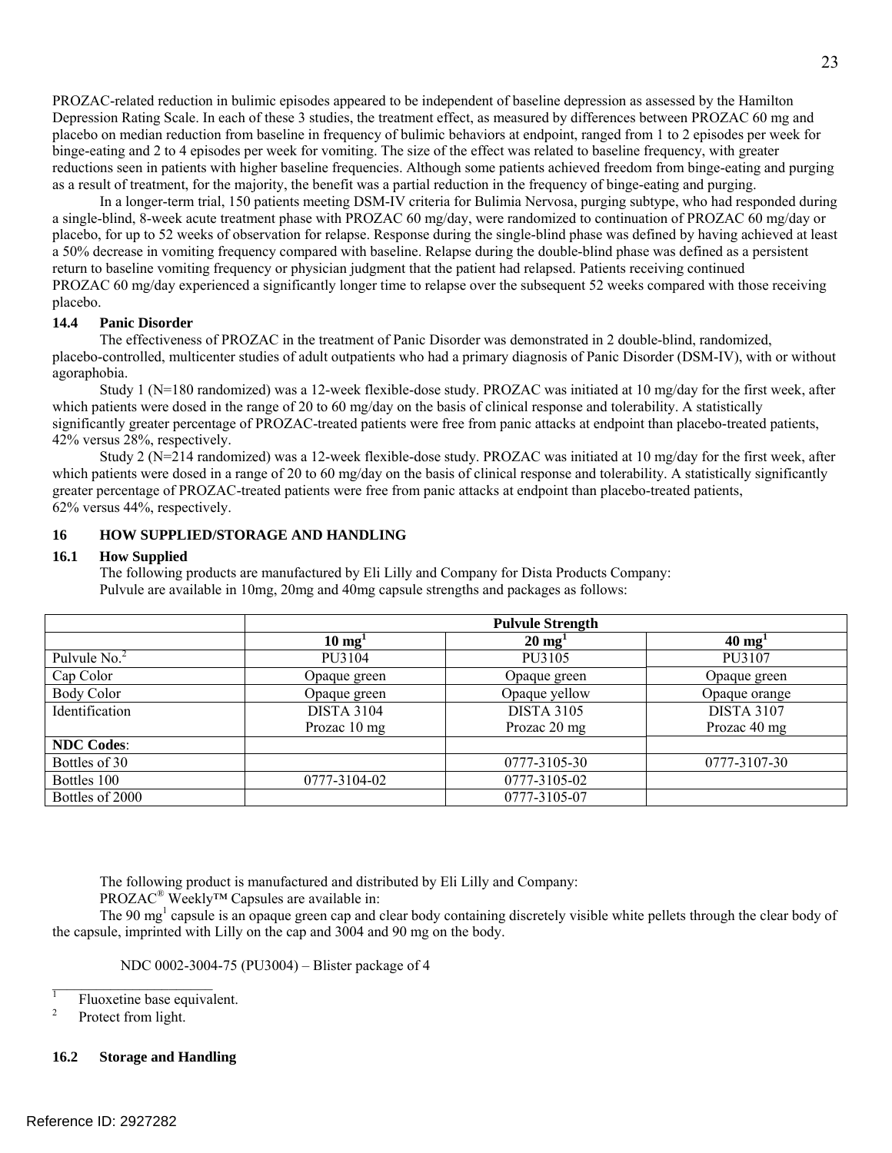placebo on median reduction from baseline in frequency of bulimic behaviors at endpoint, ranged from 1 to 2 episodes per week for binge-eating and 2 to 4 episodes per week for vomiting. The size of the effect was related to baseline frequency, with greater PROZAC-related reduction in bulimic episodes appeared to be independent of baseline depression as assessed by the Hamilton Depression Rating Scale. In each of these 3 studies, the treatment effect, as measured by differences between PROZAC 60 mg and reductions seen in patients with higher baseline frequencies. Although some patients achieved freedom from binge-eating and purging as a result of treatment, for the majority, the benefit was a partial reduction in the frequency of binge-eating and purging.

 a single-blind, 8-week acute treatment phase with PROZAC 60 mg/day, were randomized to continuation of PROZAC 60 mg/day or In a longer-term trial, 150 patients meeting DSM-IV criteria for Bulimia Nervosa, purging subtype, who had responded during placebo, for up to 52 weeks of observation for relapse. Response during the single-blind phase was defined by having achieved at least a 50% decrease in vomiting frequency compared with baseline. Relapse during the double-blind phase was defined as a persistent return to baseline vomiting frequency or physician judgment that the patient had relapsed. Patients receiving continued PROZAC 60 mg/day experienced a significantly longer time to relapse over the subsequent 52 weeks compared with those receiving placebo.

#### **14.4 Panic Disorder**

The effectiveness of PROZAC in the treatment of Panic Disorder was demonstrated in 2 double-blind, randomized, placebo-controlled, multicenter studies of adult outpatients who had a primary diagnosis of Panic Disorder (DSM-IV), with or without agoraphobia.

Study 1 (N=180 randomized) was a 12-week flexible-dose study. PROZAC was initiated at 10 mg/day for the first week, after which patients were dosed in the range of 20 to 60 mg/day on the basis of clinical response and tolerability. A statistically significantly greater percentage of PROZAC-treated patients were free from panic attacks at endpoint than placebo-treated patients, 42% versus 28%, respectively.

Study 2 (N=214 randomized) was a 12-week flexible-dose study. PROZAC was initiated at 10 mg/day for the first week, after which patients were dosed in a range of 20 to 60 mg/day on the basis of clinical response and tolerability. A statistically significantly greater percentage of PROZAC-treated patients were free from panic attacks at endpoint than placebo-treated patients, 62% versus 44%, respectively.

### **16 HOW SUPPLIED/STORAGE AND HANDLING**

#### **16.1 How Supplied**

 The following products are manufactured by Eli Lilly and Company for Dista Products Company: Pulvule are available in 10mg, 20mg and 40mg capsule strengths and packages as follows:

|                   | <b>Pulvule Strength</b> |                   |                   |  |
|-------------------|-------------------------|-------------------|-------------------|--|
|                   | $10 \text{ mg}^1$       | $20 \text{ mg}^1$ | $40 \text{ mg}^1$ |  |
| Pulvule $No.2$    | PU3104                  | PU3105            | PU3107            |  |
| Cap Color         | Opaque green            | Opaque green      | Opaque green      |  |
| <b>Body Color</b> | Opaque green            | Opaque yellow     | Opaque orange     |  |
| Identification    | <b>DISTA 3104</b>       | <b>DISTA 3105</b> | <b>DISTA 3107</b> |  |
|                   | Prozac 10 mg            | Prozac 20 mg      | Prozac 40 mg      |  |
| <b>NDC Codes:</b> |                         |                   |                   |  |
| Bottles of 30     |                         | 0777-3105-30      | 0777-3107-30      |  |
| Bottles 100       | 0777-3104-02            | 0777-3105-02      |                   |  |
| Bottles of 2000   |                         | 0777-3105-07      |                   |  |

The following product is manufactured and distributed by Eli Lilly and Company:

PROZAC® Weekly™ Capsules are available in:

The 90 mg<sup>1</sup> capsule is an opaque green cap and clear body containing discretely visible white pellets through the clear body of the capsule, imprinted with Lilly on the cap and 3004 and 90 mg on the body.

NDC 0002-3004-75 (PU3004) – Blister package of 4

 $\mathcal{L}_\text{max}$  , where  $\mathcal{L}_\text{max}$  and  $\mathcal{L}_\text{max}$  $\frac{1}{2}$  Fluoxetine base equivalent.

Protect from light.

**16.2 Storage and Handling**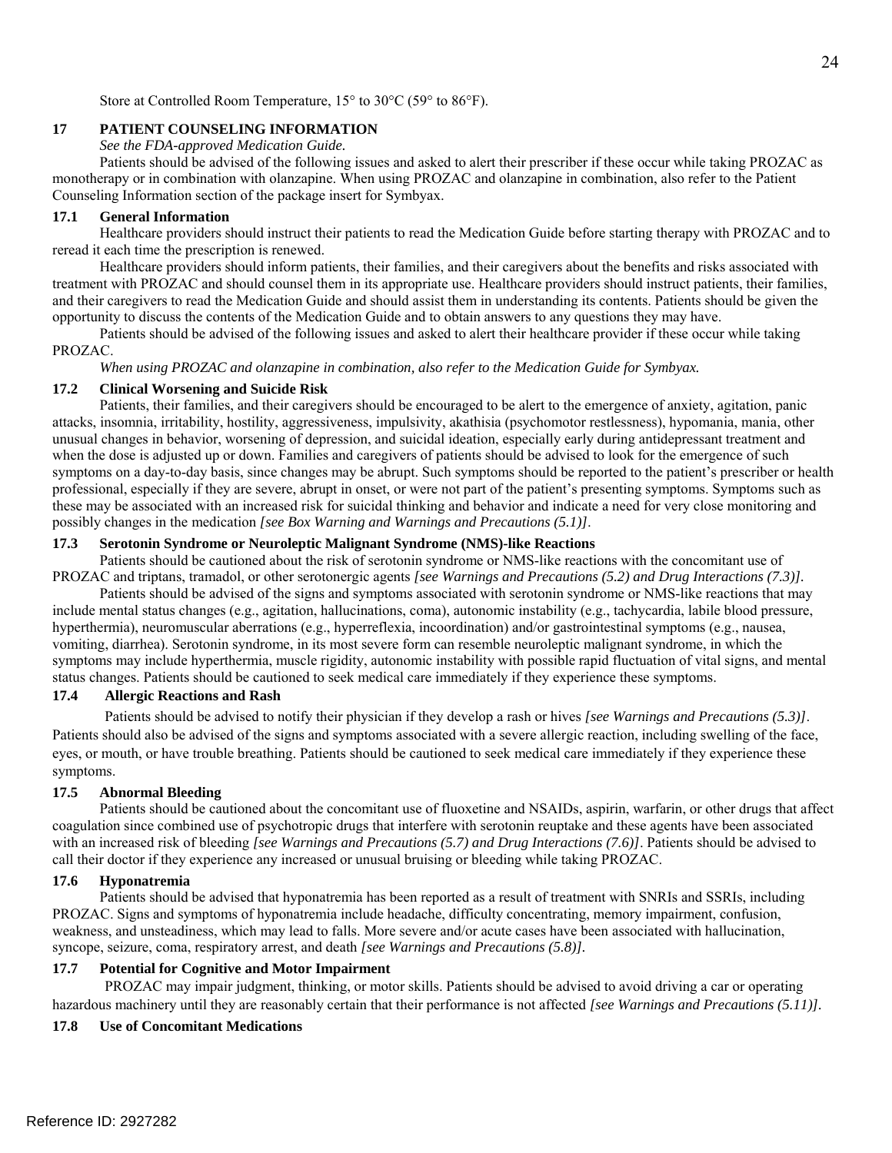Store at Controlled Room Temperature, 15° to 30°C (59° to 86°F).

### **17 PATIENT COUNSELING INFORMATION**

#### *See the FDA-approved Medication Guide.*

 monotherapy or in combination with olanzapine. When using PROZAC and olanzapine in combination, also refer to the Patient Patients should be advised of the following issues and asked to alert their prescriber if these occur while taking PROZAC as Counseling Information section of the package insert for Symbyax.

#### **17.1 General Information**

Healthcare providers should instruct their patients to read the Medication Guide before starting therapy with PROZAC and to reread it each time the prescription is renewed.

 opportunity to discuss the contents of the Medication Guide and to obtain answers to any questions they may have. Healthcare providers should inform patients, their families, and their caregivers about the benefits and risks associated with treatment with PROZAC and should counsel them in its appropriate use. Healthcare providers should instruct patients, their families, and their caregivers to read the Medication Guide and should assist them in understanding its contents. Patients should be given the

Patients should be advised of the following issues and asked to alert their healthcare provider if these occur while taking PROZAC.

*When using PROZAC and olanzapine in combination, also refer to the Medication Guide for Symbyax.* 

#### **17.2 Clinical Worsening and Suicide Risk**

Patients, their families, and their caregivers should be encouraged to be alert to the emergence of anxiety, agitation, panic attacks, insomnia, irritability, hostility, aggressiveness, impulsivity, akathisia (psychomotor restlessness), hypomania, mania, other unusual changes in behavior, worsening of depression, and suicidal ideation, especially early during antidepressant treatment and when the dose is adjusted up or down. Families and caregivers of patients should be advised to look for the emergence of such symptoms on a day-to-day basis, since changes may be abrupt. Such symptoms should be reported to the patient's prescriber or health professional, especially if they are severe, abrupt in onset, or were not part of the patient's presenting symptoms. Symptoms such as these may be associated with an increased risk for suicidal thinking and behavior and indicate a need for very close monitoring and possibly changes in the medication *[see Box Warning and Warnings and Precautions (5.1)]*.

### **17.3 Serotonin Syndrome or Neuroleptic Malignant Syndrome (NMS)-like Reactions**

 PROZAC and triptans, tramadol, or other serotonergic agents *[see Warnings and Precautions (5.2) and Drug Interactions (7.3)].* Patients should be cautioned about the risk of serotonin syndrome or NMS-like reactions with the concomitant use of

 Patients should be advised of the signs and symptoms associated with serotonin syndrome or NMS-like reactions that may hyperthermia), neuromuscular aberrations (e.g., hyperreflexia, incoordination) and/or gastrointestinal symptoms (e.g., nausea, include mental status changes (e.g., agitation, hallucinations, coma), autonomic instability (e.g., tachycardia, labile blood pressure, vomiting, diarrhea). Serotonin syndrome, in its most severe form can resemble neuroleptic malignant syndrome, in which the symptoms may include hyperthermia, muscle rigidity, autonomic instability with possible rapid fluctuation of vital signs, and mental status changes. Patients should be cautioned to seek medical care immediately if they experience these symptoms.

#### **17.4 Allergic Reactions and Rash**

 Patients should be advised to notify their physician if they develop a rash or hives *[see Warnings and Precautions (5.3)]*. Patients should also be advised of the signs and symptoms associated with a severe allergic reaction, including swelling of the face, eyes, or mouth, or have trouble breathing. Patients should be cautioned to seek medical care immediately if they experience these symptoms.

#### **17.5 Abnormal Bleeding**

Patients should be cautioned about the concomitant use of fluoxetine and NSAIDs, aspirin, warfarin, or other drugs that affect coagulation since combined use of psychotropic drugs that interfere with serotonin reuptake and these agents have been associated with an increased risk of bleeding *[see Warnings and Precautions (5.7) and Drug Interactions (7.6)]*. Patients should be advised to call their doctor if they experience any increased or unusual bruising or bleeding while taking PROZAC.

#### **17.6 Hyponatremia**

 Patients should be advised that hyponatremia has been reported as a result of treatment with SNRIs and SSRIs, including PROZAC. Signs and symptoms of hyponatremia include headache, difficulty concentrating, memory impairment, confusion, weakness, and unsteadiness, which may lead to falls. More severe and/or acute cases have been associated with hallucination, syncope, seizure, coma, respiratory arrest, and death *[see Warnings and Precautions (5.8)].* 

#### **17.7 Potential for Cognitive and Motor Impairment**

 PROZAC may impair judgment, thinking, or motor skills. Patients should be advised to avoid driving a car or operating hazardous machinery until they are reasonably certain that their performance is not affected *[see Warnings and Precautions (5.11)].* 

#### **Use of Concomitant Medications**